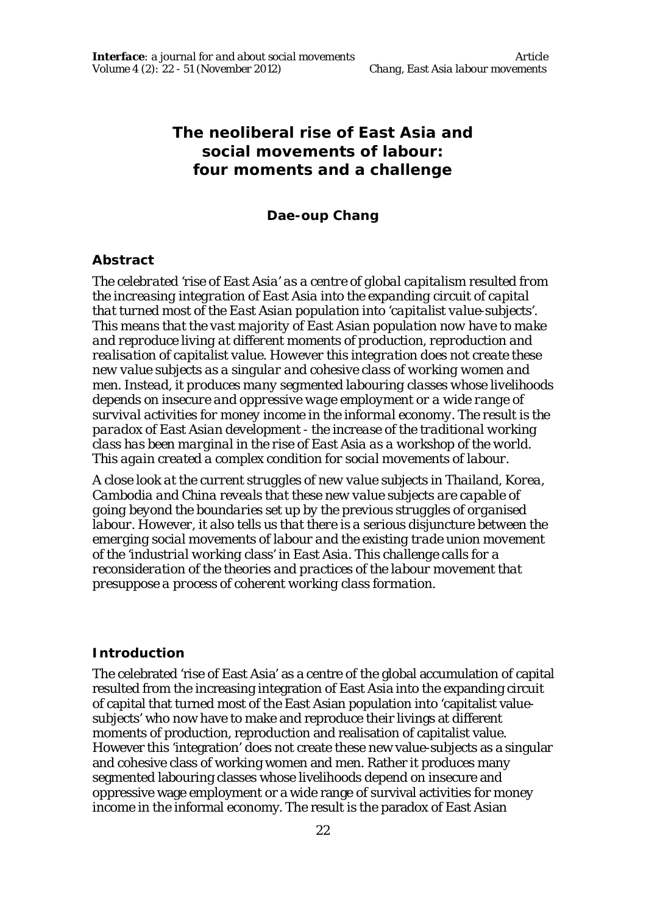# **The neoliberal rise of East Asia and social movements of labour: four moments and a challenge**

#### **Dae-oup Chang**

#### **Abstract**

*The celebrated 'rise of East Asia' as a centre of global capitalism resulted from the increasing integration of East Asia into the expanding circuit of capital that turned most of the East Asian population into 'capitalist value-subjects'. This means that the vast majority of East Asian population now have to make and reproduce living at different moments of production, reproduction and realisation of capitalist value. However this integration does not create these new value subjects as a singular and cohesive class of working women and men. Instead, it produces many segmented labouring classes whose livelihoods depends on insecure and oppressive wage employment or a wide range of survival activities for money income in the informal economy. The result is the paradox of East Asian development - the increase of the traditional working class has been marginal in the rise of East Asia as a workshop of the world. This again created a complex condition for social movements of labour.* 

*A close look at the current struggles of new value subjects in Thailand, Korea, Cambodia and China reveals that these new value subjects are capable of going beyond the boundaries set up by the previous struggles of organised labour. However, it also tells us that there is a serious disjuncture between the emerging social movements of labour and the existing trade union movement of the 'industrial working class' in East Asia. This challenge calls for a reconsideration of the theories and practices of the labour movement that presuppose a process of coherent working class formation.*

#### **Introduction**

The celebrated 'rise of East Asia' as a centre of the global accumulation of capital resulted from the increasing integration of East Asia into the expanding circuit of capital that turned most of the East Asian population into 'capitalist valuesubjects' who now have to make and reproduce their livings at different moments of production, reproduction and realisation of capitalist value. However this 'integration' does not create these new value-subjects as a singular and cohesive class of working women and men. Rather it produces many segmented labouring classes whose livelihoods depend on insecure and oppressive wage employment or a wide range of survival activities for money income in the informal economy. The result is the paradox of East Asian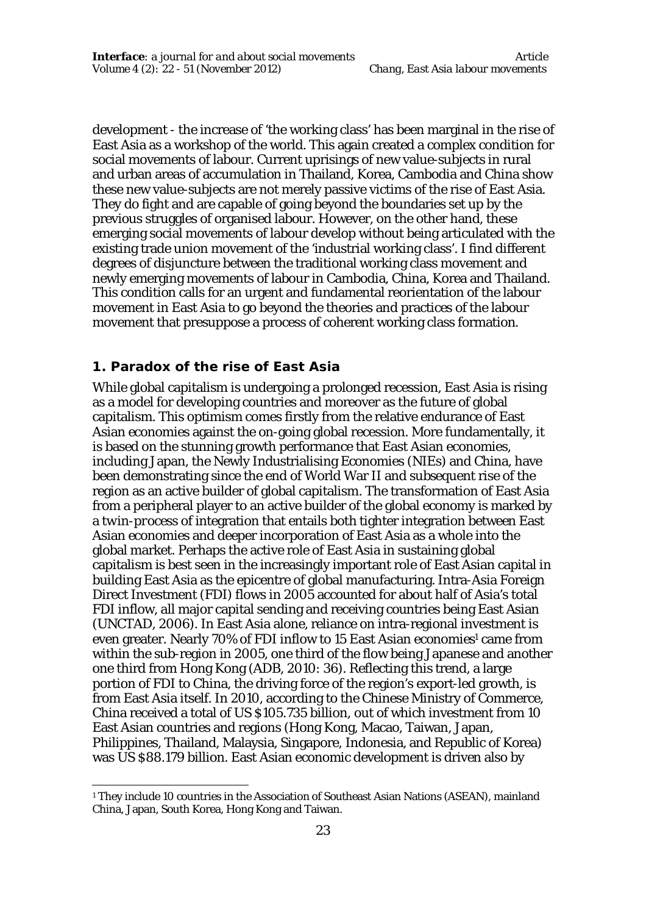development - the increase of 'the working class' has been marginal in the rise of East Asia as a workshop of the world. This again created a complex condition for social movements of labour. Current uprisings of new value-subjects in rural and urban areas of accumulation in Thailand, Korea, Cambodia and China show these new value-subjects are not merely passive victims of the rise of East Asia. They do fight and are capable of going beyond the boundaries set up by the previous struggles of organised labour. However, on the other hand, these emerging social movements of labour develop without being articulated with the existing trade union movement of the 'industrial working class'. I find different degrees of disjuncture between the traditional working class movement and newly emerging movements of labour in Cambodia, China, Korea and Thailand. This condition calls for an urgent and fundamental reorientation of the labour movement in East Asia to go beyond the theories and practices of the labour movement that presuppose a process of coherent working class formation.

## **1. Paradox of the rise of East Asia**

While global capitalism is undergoing a prolonged recession, East Asia is rising as a model for developing countries and moreover as the future of global capitalism. This optimism comes firstly from the relative endurance of East Asian economies against the on-going global recession. More fundamentally, it is based on the stunning growth performance that East Asian economies, including Japan, the Newly Industrialising Economies (NIEs) and China, have been demonstrating since the end of World War II and subsequent rise of the region as an active builder of global capitalism. The transformation of East Asia from a peripheral player to an active builder of the global economy is marked by a *twin-process* of integration that entails both tighter integration between East Asian economies and deeper incorporation of East Asia as a whole into the global market. Perhaps the active role of East Asia in sustaining global capitalism is best seen in the increasingly important role of East Asian capital in building East Asia as the epicentre of global manufacturing. Intra-Asia Foreign Direct Investment (FDI) flows in 2005 accounted for about half of Asia's total FDI inflow, all major capital sending and receiving countries being East Asian (UNCTAD, 2006). In East Asia alone, reliance on intra-regional investment is even greater. Nearly 70% of FDI inflow to 15 East Asian economies<sup>1</sup> came from within the sub-region in 2005, one third of the flow being Japanese and another one third from Hong Kong (ADB, 2010: 36). Reflecting this trend, a large portion of FDI to China, the driving force of the region's export-led growth, is from East Asia itself. In 2010, according to the Chinese Ministry of Commerce, China received a total of US \$105.735 billion, out of which investment from 10 East Asian countries and regions (Hong Kong, Macao, Taiwan, Japan, Philippines, Thailand, Malaysia, Singapore, Indonesia, and Republic of Korea) was US \$88.179 billion. East Asian economic development is driven also by

 $\overline{a}$ <sup>1</sup> They include 10 countries in the Association of Southeast Asian Nations (ASEAN), mainland China, Japan, South Korea, Hong Kong and Taiwan.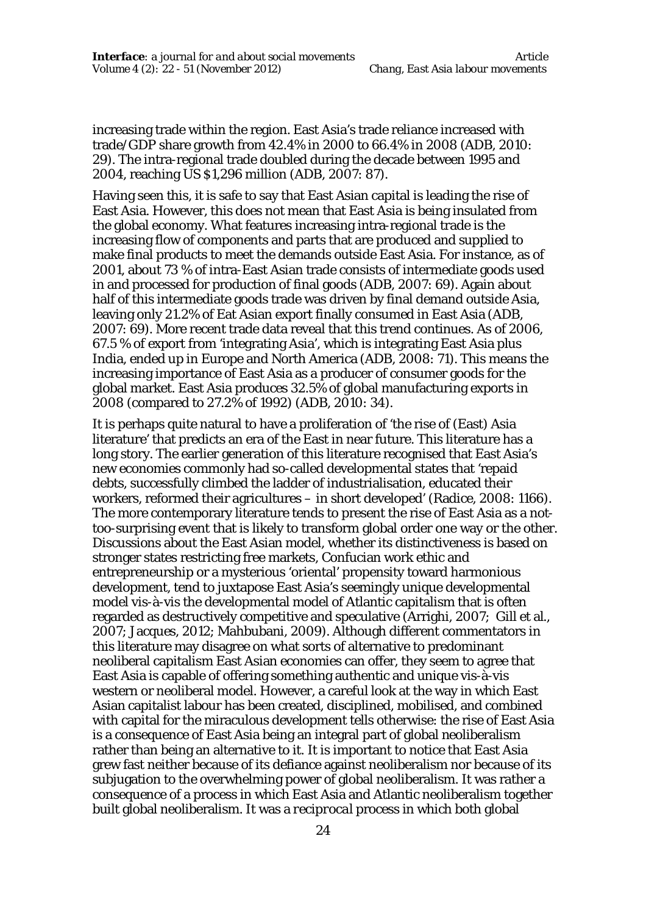increasing trade within the region. East Asia's trade reliance increased with trade/GDP share growth from 42.4% in 2000 to 66.4% in 2008 (ADB, 2010: 29). The intra-regional trade doubled during the decade between 1995 and 2004, reaching US \$1,296 million (ADB, 2007: 87).

Having seen this, it is safe to say that East Asian capital is leading the rise of East Asia. However, this does not mean that East Asia is being insulated from the global economy. What features increasing intra-regional trade is the increasing flow of components and parts that are produced and supplied to make final products to meet the demands outside East Asia. For instance, as of 2001, about 73 % of intra-East Asian trade consists of intermediate goods used in and processed for production of final goods (ADB, 2007: 69). Again about half of this intermediate goods trade was driven by final demand outside Asia, leaving only 21.2% of Eat Asian export finally consumed in East Asia (ADB, 2007: 69). More recent trade data reveal that this trend continues. As of 2006, 67.5 % of export from 'integrating Asia', which is integrating East Asia plus India, ended up in Europe and North America (ADB, 2008: 71). This means the increasing importance of East Asia as a producer of consumer goods for the global market. East Asia produces 32.5% of global manufacturing exports in 2008 (compared to 27.2% of 1992) (ADB, 2010: 34).

It is perhaps quite natural to have a proliferation of 'the rise of (East) Asia literature' that predicts an era of the East in near future. This literature has a long story. The earlier generation of this literature recognised that East Asia's new economies commonly had so-called developmental states that 'repaid debts, successfully climbed the ladder of industrialisation, educated their workers, reformed their agricultures – in short developed' (Radice, 2008: 1166). The more contemporary literature tends to present the rise of East Asia as a nottoo-surprising event that is likely to transform global order one way or the other. Discussions about the East Asian model, whether its distinctiveness is based on stronger states restricting free markets, Confucian work ethic and entrepreneurship or a mysterious 'oriental' propensity toward harmonious development, tend to juxtapose East Asia's seemingly unique developmental model vis-à-vis the developmental model of Atlantic capitalism that is often regarded as destructively competitive and speculative (Arrighi, 2007; Gill et al., 2007; Jacques, 2012; Mahbubani, 2009). Although different commentators in this literature may disagree on what sorts of alternative to predominant neoliberal capitalism East Asian economies can offer, they seem to agree that East Asia is capable of offering something authentic and unique vis-à-vis western or neoliberal model. However, a careful look at the way in which East Asian capitalist labour has been created, disciplined, mobilised, and combined with capital for the miraculous development tells otherwise: the rise of East Asia is a consequence of East Asia being an integral part of global neoliberalism rather than being an alternative to it. It is important to notice that East Asia grew fast neither because of its defiance against neoliberalism nor because of its subjugation to the overwhelming power of global neoliberalism. It was rather a consequence of a process in which East Asia and Atlantic neoliberalism together built global neoliberalism. It was a *reciprocal* process in which both global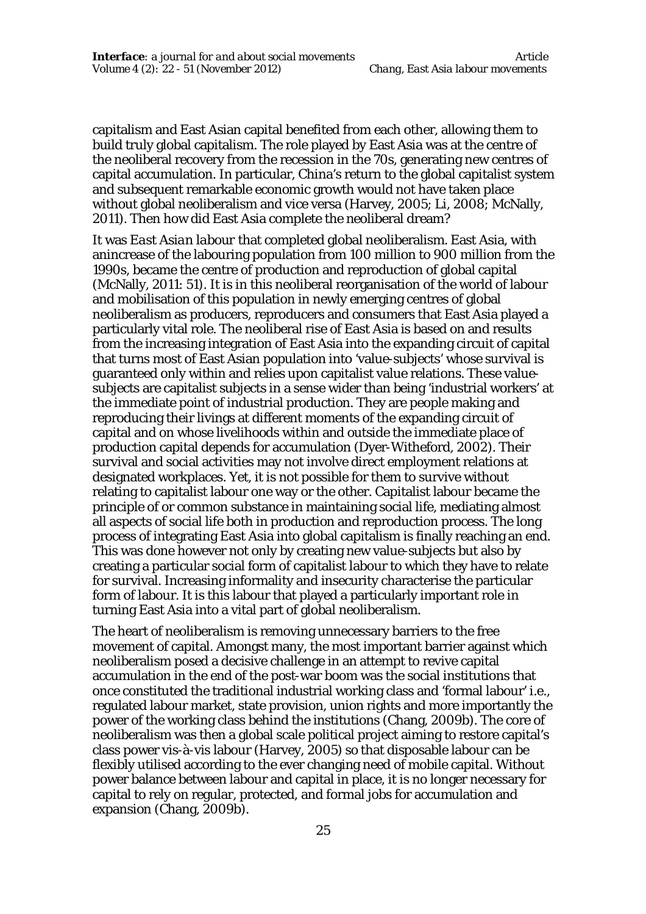capitalism and East Asian capital benefited from each other, allowing them to build truly global capitalism. The role played by East Asia was at the centre of the neoliberal recovery from the recession in the 70s, generating new centres of capital accumulation. In particular, China's return to the global capitalist system and subsequent remarkable economic growth would not have taken place without global neoliberalism and vice versa (Harvey, 2005; Li, 2008; McNally, 2011). Then how did East Asia complete the neoliberal dream?

It was *East Asian labour* that completed global neoliberalism. East Asia, with anincrease of the labouring population from 100 million to 900 million from the 1990s, became the centre of production and reproduction of global capital (McNally, 2011: 51). It is in this neoliberal reorganisation of the world of labour and mobilisation of this population in newly emerging centres of global neoliberalism as producers, reproducers and consumers that East Asia played a particularly vital role. The neoliberal rise of East Asia is based on and results from the increasing integration of East Asia into the expanding circuit of capital that turns most of East Asian population into 'value-subjects' whose survival is guaranteed only within and relies upon capitalist value relations. These valuesubjects are capitalist subjects in a sense wider than being 'industrial workers' at the immediate point of industrial production. They are people making and reproducing their livings at different moments of the expanding circuit of capital and on whose livelihoods within and outside the immediate place of production capital depends for accumulation (Dyer-Witheford, 2002). Their survival and social activities may not involve direct employment relations at designated workplaces. Yet, it is not possible for them to survive without relating to capitalist labour one way or the other. Capitalist labour became the principle of or common substance in maintaining social life, mediating almost all aspects of social life both in production and reproduction process. The long process of integrating East Asia into global capitalism is finally reaching an end. This was done however not only by creating new value-subjects but also by creating a particular social form of capitalist labour to which they have to relate for survival. Increasing informality and insecurity characterise the particular form of labour. It is this labour that played a particularly important role in turning East Asia into a vital part of global neoliberalism.

The heart of neoliberalism is removing unnecessary barriers to the free movement of capital. Amongst many, the most important barrier against which neoliberalism posed a decisive challenge in an attempt to revive capital accumulation in the end of the post-war boom was the social institutions that once constituted the traditional industrial working class and 'formal labour' i.e., regulated labour market, state provision, union rights and more importantly the power of the working class behind the institutions (Chang, 2009b). The core of neoliberalism was then a global scale political project aiming to restore capital's class power vis-à-vis labour (Harvey, 2005) so that disposable labour can be flexibly utilised according to the ever changing need of mobile capital. Without power balance between labour and capital in place, it is no longer necessary for capital to rely on regular, protected, and formal jobs for accumulation and expansion (Chang, 2009b).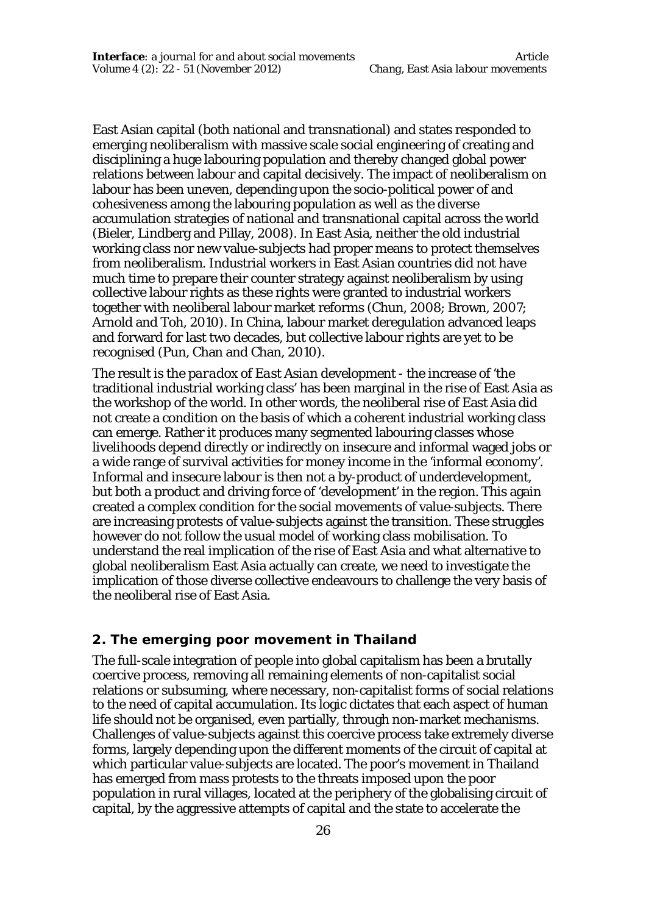East Asian capital (both national and transnational) and states responded to emerging neoliberalism with massive scale social engineering of creating and disciplining a huge labouring population and thereby changed global power relations between labour and capital decisively. The impact of neoliberalism on labour has been uneven, depending upon the socio-political power of and cohesiveness among the labouring population as well as the diverse accumulation strategies of national and transnational capital across the world (Bieler, Lindberg and Pillay, 2008). In East Asia, neither the old industrial working class nor new value-subjects had proper means to protect themselves from neoliberalism. Industrial workers in East Asian countries did not have much time to prepare their counter strategy against neoliberalism by using collective labour rights as these rights were granted to industrial workers together with neoliberal labour market reforms (Chun, 2008; Brown, 2007; Arnold and Toh, 2010). In China, labour market deregulation advanced leaps and forward for last two decades, but collective labour rights are yet to be recognised (Pun, Chan and Chan, 2010).

The result is the *paradox of East Asian development* - the increase of 'the traditional industrial working class' has been marginal in the rise of East Asia as the workshop of the world. In other words, the neoliberal rise of East Asia did not create a condition on the basis of which a coherent industrial working class can emerge. Rather it produces many segmented labouring classes whose livelihoods depend directly or indirectly on insecure and informal waged jobs or a wide range of survival activities for money income in the 'informal economy'. Informal and insecure labour is then not a by-product of underdevelopment, but both a product and driving force of 'development' in the region. This again created a complex condition for the social movements of value-subjects. There are increasing protests of value-subjects against the transition. These struggles however do not follow the usual model of working class mobilisation. To understand the real implication of the rise of East Asia and what alternative to global neoliberalism East Asia actually can create, we need to investigate the implication of those diverse collective endeavours to challenge the very basis of the neoliberal rise of East Asia.

#### **2. The emerging poor movement in Thailand**

The full-scale integration of people into global capitalism has been a brutally coercive process, removing all remaining elements of non-capitalist social relations or subsuming, where necessary, non-capitalist forms of social relations to the need of capital accumulation. Its logic dictates that each aspect of human life should not be organised, even partially, through non-market mechanisms. Challenges of value-subjects against this coercive process take extremely diverse forms, largely depending upon the different moments of the circuit of capital at which particular value-subjects are located. The poor's movement in Thailand has emerged from mass protests to the threats imposed upon the poor population in rural villages, located at the periphery of the globalising circuit of capital, by the aggressive attempts of capital and the state to accelerate the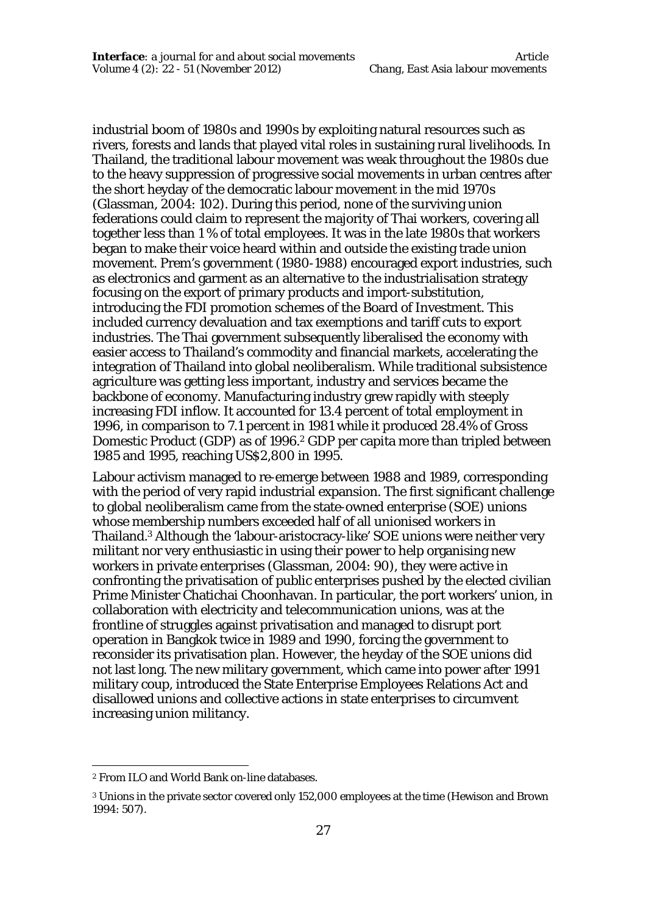industrial boom of 1980s and 1990s by exploiting natural resources such as rivers, forests and lands that played vital roles in sustaining rural livelihoods. In Thailand, the traditional labour movement was weak throughout the 1980s due to the heavy suppression of progressive social movements in urban centres after the short heyday of the democratic labour movement in the mid 1970s (Glassman, 2004: 102). During this period, none of the surviving union federations could claim to represent the majority of Thai workers, covering all together less than 1 % of total employees. It was in the late 1980s that workers began to make their voice heard within and outside the existing trade union movement. Prem's government (1980-1988) encouraged export industries, such as electronics and garment as an alternative to the industrialisation strategy focusing on the export of primary products and import-substitution, introducing the FDI promotion schemes of the Board of Investment. This included currency devaluation and tax exemptions and tariff cuts to export industries. The Thai government subsequently liberalised the economy with easier access to Thailand's commodity and financial markets, accelerating the integration of Thailand into global neoliberalism. While traditional subsistence agriculture was getting less important, industry and services became the backbone of economy. Manufacturing industry grew rapidly with steeply increasing FDI inflow. It accounted for 13.4 percent of total employment in 1996, in comparison to 7.1 percent in 1981 while it produced 28.4% of Gross Domestic Product (GDP) as of 1996.<sup>2</sup> GDP per capita more than tripled between 1985 and 1995, reaching US\$2,800 in 1995.

Labour activism managed to re-emerge between 1988 and 1989, corresponding with the period of very rapid industrial expansion. The first significant challenge to global neoliberalism came from the state-owned enterprise (SOE) unions whose membership numbers exceeded half of all unionised workers in Thailand.<sup>3</sup> Although the 'labour-aristocracy-like' SOE unions were neither very militant nor very enthusiastic in using their power to help organising new workers in private enterprises (Glassman, 2004: 90), they were active in confronting the privatisation of public enterprises pushed by the elected civilian Prime Minister Chatichai Choonhavan. In particular, the port workers' union, in collaboration with electricity and telecommunication unions, was at the frontline of struggles against privatisation and managed to disrupt port operation in Bangkok twice in 1989 and 1990, forcing the government to reconsider its privatisation plan. However, the heyday of the SOE unions did not last long. The new military government, which came into power after 1991 military coup, introduced the State Enterprise Employees Relations Act and disallowed unions and collective actions in state enterprises to circumvent increasing union militancy.

 $\overline{a}$ 

<sup>2</sup> From ILO and World Bank on-line databases.

<sup>3</sup> Unions in the private sector covered only 152,000 employees at the time (Hewison and Brown 1994: 507).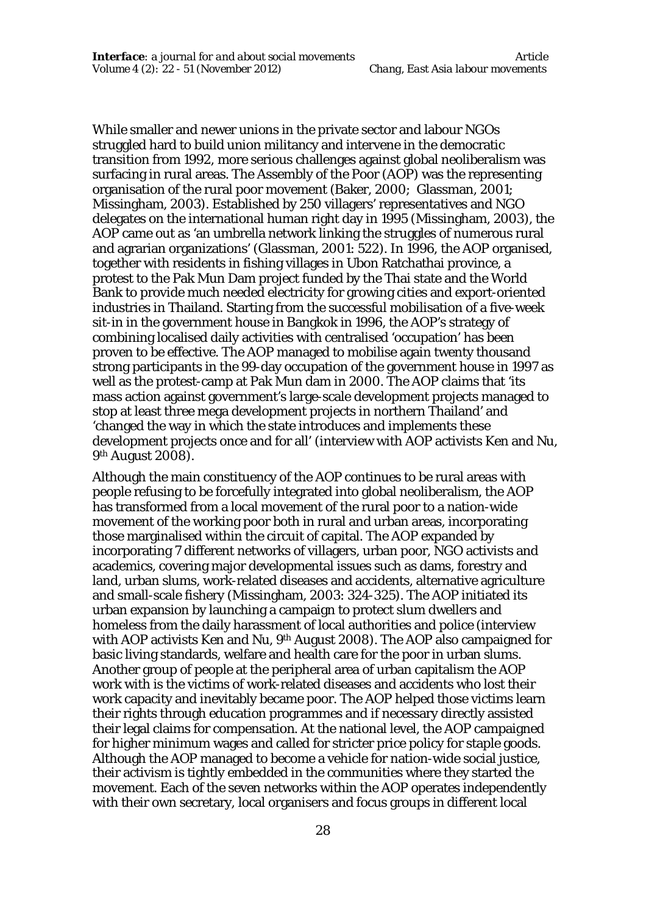While smaller and newer unions in the private sector and labour NGOs struggled hard to build union militancy and intervene in the democratic transition from 1992, more serious challenges against global neoliberalism was surfacing in rural areas. The Assembly of the Poor (AOP) was the representing organisation of the rural poor movement (Baker, 2000; Glassman, 2001; Missingham, 2003). Established by 250 villagers' representatives and NGO delegates on the international human right day in 1995 (Missingham, 2003), the AOP came out as 'an umbrella network linking the struggles of numerous rural and agrarian organizations' (Glassman, 2001: 522). In 1996, the AOP organised, together with residents in fishing villages in Ubon Ratchathai province, a protest to the Pak Mun Dam project funded by the Thai state and the World Bank to provide much needed electricity for growing cities and export-oriented industries in Thailand. Starting from the successful mobilisation of a five-week sit-in in the government house in Bangkok in 1996, the AOP's strategy of combining localised daily activities with centralised 'occupation' has been proven to be effective. The AOP managed to mobilise again twenty thousand strong participants in the 99-day occupation of the government house in 1997 as well as the protest-camp at Pak Mun dam in 2000. The AOP claims that 'its mass action against government's large-scale development projects managed to stop at least three mega development projects in northern Thailand' and 'changed the way in which the state introduces and implements these development projects once and for all' (interview with AOP activists Ken and Nu, 9<sup>th</sup> August 2008).

Although the main constituency of the AOP continues to be rural areas with people refusing to be forcefully integrated into global neoliberalism, the AOP has transformed from a local movement of the rural poor to a nation-wide movement of the working poor both in rural and urban areas, incorporating those marginalised within the circuit of capital. The AOP expanded by incorporating 7 different networks of villagers, urban poor, NGO activists and academics, covering major developmental issues such as dams, forestry and land, urban slums, work-related diseases and accidents, alternative agriculture and small-scale fishery (Missingham, 2003: 324-325). The AOP initiated its urban expansion by launching a campaign to protect slum dwellers and homeless from the daily harassment of local authorities and police (interview with AOP activists Ken and Nu, 9th August 2008). The AOP also campaigned for basic living standards, welfare and health care for the poor in urban slums. Another group of people at the peripheral area of urban capitalism the AOP work with is the victims of work-related diseases and accidents who lost their work capacity and inevitably became poor. The AOP helped those victims learn their rights through education programmes and if necessary directly assisted their legal claims for compensation. At the national level, the AOP campaigned for higher minimum wages and called for stricter price policy for staple goods. Although the AOP managed to become a vehicle for nation-wide social justice, their activism is tightly embedded in the communities where they started the movement. Each of the seven networks within the AOP operates independently with their own secretary, local organisers and focus groups in different local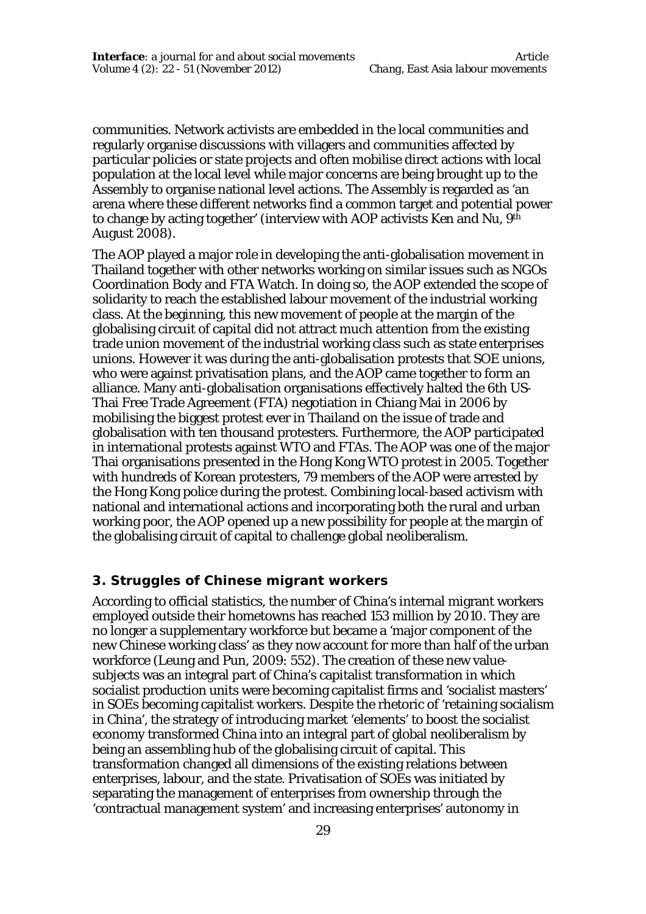communities. Network activists are embedded in the local communities and regularly organise discussions with villagers and communities affected by particular policies or state projects and often mobilise direct actions with local population at the local level while major concerns are being brought up to the Assembly to organise national level actions. The Assembly is regarded as 'an arena where these different networks find a common target and potential power to change by acting together' (interview with AOP activists Ken and Nu, 9th August 2008).

The AOP played a major role in developing the anti-globalisation movement in Thailand together with other networks working on similar issues such as NGOs Coordination Body and FTA Watch. In doing so, the AOP extended the scope of solidarity to reach the established labour movement of the industrial working class. At the beginning, this new movement of people at the margin of the globalising circuit of capital did not attract much attention from the existing trade union movement of the industrial working class such as state enterprises unions. However it was during the anti-globalisation protests that SOE unions, who were against privatisation plans, and the AOP came together to form an alliance. Many anti-globalisation organisations effectively halted the 6th US-Thai Free Trade Agreement (FTA) negotiation in Chiang Mai in 2006 by mobilising the biggest protest ever in Thailand on the issue of trade and globalisation with ten thousand protesters. Furthermore, the AOP participated in international protests against WTO and FTAs. The AOP was one of the major Thai organisations presented in the Hong Kong WTO protest in 2005. Together with hundreds of Korean protesters, 79 members of the AOP were arrested by the Hong Kong police during the protest. Combining local-based activism with national and international actions and incorporating both the rural and urban working poor, the AOP opened up a new possibility for people at the margin of the globalising circuit of capital to challenge global neoliberalism.

#### **3. Struggles of Chinese migrant workers**

According to official statistics, the number of China's internal migrant workers employed outside their hometowns has reached 153 million by 2010. They are no longer a supplementary workforce but became a 'major component of the new Chinese working class' as they now account for more than half of the urban workforce (Leung and Pun, 2009: 552). The creation of these new valuesubjects was an integral part of China's capitalist transformation in which socialist production units were becoming capitalist firms and 'socialist masters' in SOEs becoming capitalist workers. Despite the rhetoric of 'retaining socialism in China', the strategy of introducing market 'elements' to boost the socialist economy transformed China into an integral part of global neoliberalism by being an assembling hub of the globalising circuit of capital. This transformation changed all dimensions of the existing relations between enterprises, labour, and the state. Privatisation of SOEs was initiated by separating the management of enterprises from ownership through the 'contractual management system' and increasing enterprises' autonomy in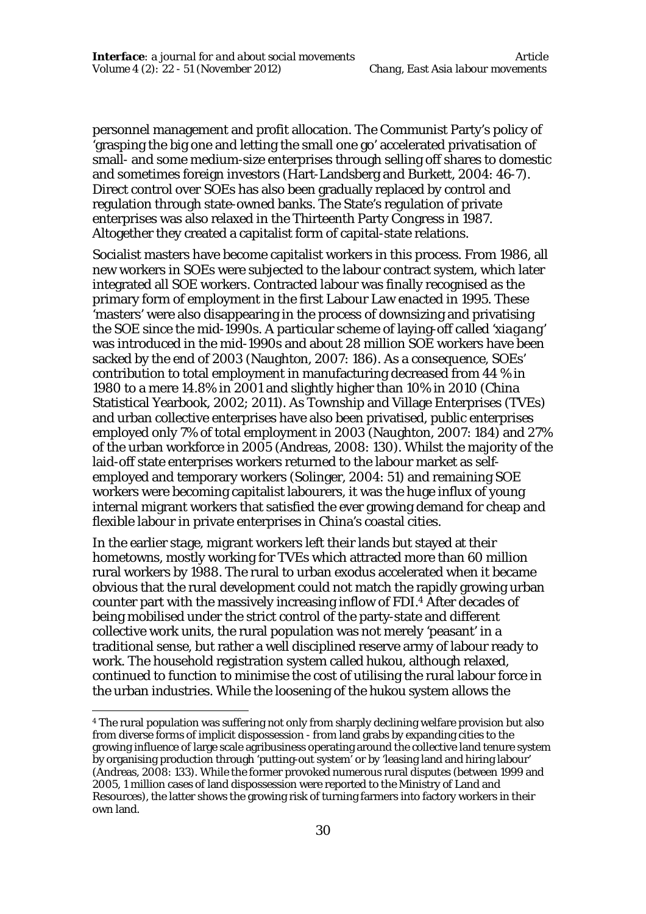personnel management and profit allocation. The Communist Party's policy of 'grasping the big one and letting the small one go' accelerated privatisation of small- and some medium-size enterprises through selling off shares to domestic and sometimes foreign investors (Hart-Landsberg and Burkett, 2004: 46-7). Direct control over SOEs has also been gradually replaced by control and regulation through state-owned banks. The State's regulation of private enterprises was also relaxed in the Thirteenth Party Congress in 1987. Altogether they created a capitalist form of capital-state relations.

Socialist masters have become capitalist workers in this process. From 1986, all new workers in SOEs were subjected to the labour contract system, which later integrated all SOE workers. Contracted labour was finally recognised as the primary form of employment in the first Labour Law enacted in 1995. These 'masters' were also disappearing in the process of downsizing and privatising the SOE since the mid-1990s. A particular scheme of laying-off called '*xiagang'*  was introduced in the mid-1990s and about 28 million SOE workers have been sacked by the end of 2003 (Naughton, 2007: 186). As a consequence, SOEs' contribution to total employment in manufacturing decreased from 44 % in 1980 to a mere 14.8% in 2001 and slightly higher than 10% in 2010 (China Statistical Yearbook, 2002; 2011). As Township and Village Enterprises (TVEs) and urban collective enterprises have also been privatised, public enterprises employed only 7% of total employment in 2003 (Naughton, 2007: 184) and 27% of the urban workforce in 2005 (Andreas, 2008: 130). Whilst the majority of the laid-off state enterprises workers returned to the labour market as selfemployed and temporary workers (Solinger, 2004: 51) and remaining SOE workers were becoming capitalist labourers, it was the huge influx of young internal migrant workers that satisfied the ever growing demand for cheap and flexible labour in private enterprises in China's coastal cities.

In the earlier stage, migrant workers left their lands but stayed at their hometowns, mostly working for TVEs which attracted more than 60 million rural workers by 1988. The rural to urban exodus accelerated when it became obvious that the rural development could not match the rapidly growing urban counter part with the massively increasing inflow of FDI.<sup>4</sup> After decades of being mobilised under the strict control of the party-state and different collective work units, the rural population was not merely 'peasant' in a traditional sense, but rather a well disciplined reserve army of labour ready to work. The household registration system called *hukou*, although relaxed, continued to function to minimise the cost of utilising the rural labour force in the urban industries. While the loosening of the *hukou* system allows the

 $\overline{a}$ 

<sup>4</sup> The rural population was suffering not only from sharply declining welfare provision but also from diverse forms of implicit dispossession - from land grabs by expanding cities to the growing influence of large scale agribusiness operating around the collective land tenure system by organising production through 'putting-out system' or by 'leasing land and hiring labour' (Andreas, 2008: 133). While the former provoked numerous rural disputes (between 1999 and 2005, 1 million cases of land dispossession were reported to the Ministry of Land and Resources), the latter shows the growing risk of turning farmers into factory workers in their own land.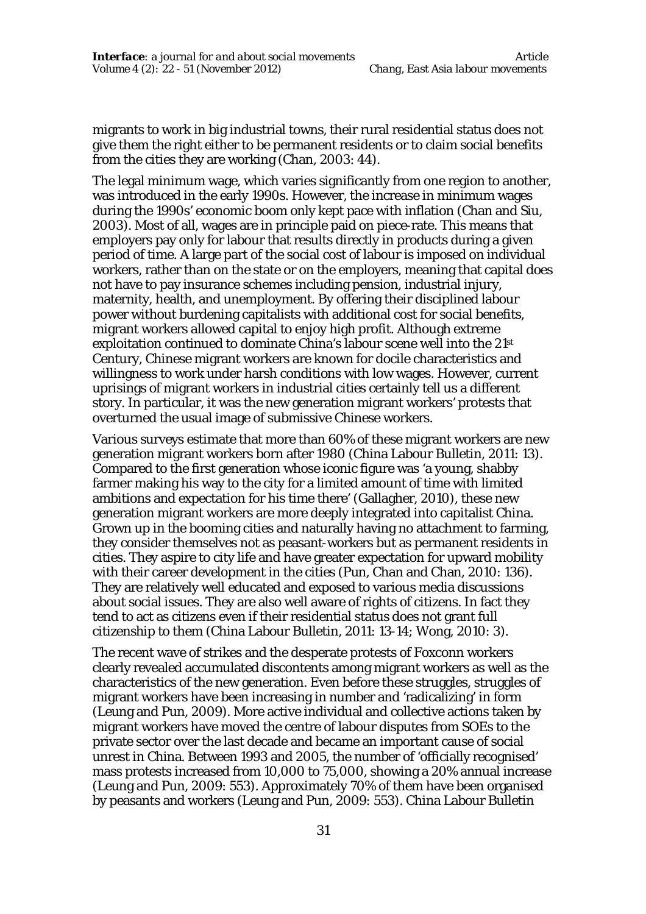migrants to work in big industrial towns, their rural residential status does not give them the right either to be permanent residents or to claim social benefits from the cities they are working (Chan, 2003: 44).

The legal minimum wage, which varies significantly from one region to another, was introduced in the early 1990s. However, the increase in minimum wages during the 1990s' economic boom only kept pace with inflation (Chan and Siu, 2003). Most of all, wages are in principle paid on piece-rate. This means that employers pay only for labour that results directly in products during a given period of time. A large part of the social cost of labour is imposed on individual workers, rather than on the state or on the employers, meaning that capital does not have to pay insurance schemes including pension, industrial injury, maternity, health, and unemployment. By offering their disciplined labour power without burdening capitalists with additional cost for social benefits, migrant workers allowed capital to enjoy high profit. Although extreme exploitation continued to dominate China's labour scene well into the 21st Century, Chinese migrant workers are known for docile characteristics and willingness to work under harsh conditions with low wages. However, current uprisings of migrant workers in industrial cities certainly tell us a different story. In particular, it was the new generation migrant workers' protests that overturned the usual image of submissive Chinese workers.

Various surveys estimate that more than 60% of these migrant workers are new generation migrant workers born after 1980 (China Labour Bulletin, 2011: 13). Compared to the first generation whose iconic figure was 'a young, shabby farmer making his way to the city for a limited amount of time with limited ambitions and expectation for his time there' (Gallagher, 2010), these new generation migrant workers are more deeply integrated into capitalist China. Grown up in the booming cities and naturally having no attachment to farming, they consider themselves not as peasant-workers but as permanent residents in cities. They aspire to city life and have greater expectation for upward mobility with their career development in the cities (Pun, Chan and Chan, 2010: 136). They are relatively well educated and exposed to various media discussions about social issues. They are also well aware of rights of citizens. In fact they tend to act as citizens even if their residential status does not grant full citizenship to them (China Labour Bulletin, 2011: 13-14; Wong, 2010: 3).

The recent wave of strikes and the desperate protests of Foxconn workers clearly revealed accumulated discontents among migrant workers as well as the characteristics of the new generation. Even before these struggles, struggles of migrant workers have been increasing in number and 'radicalizing' in form (Leung and Pun, 2009). More active individual and collective actions taken by migrant workers have moved the centre of labour disputes from SOEs to the private sector over the last decade and became an important cause of social unrest in China. Between 1993 and 2005, the number of 'officially recognised' mass protests increased from 10,000 to 75,000, showing a 20% annual increase (Leung and Pun, 2009: 553). Approximately 70% of them have been organised by peasants and workers (Leung and Pun, 2009: 553). China Labour Bulletin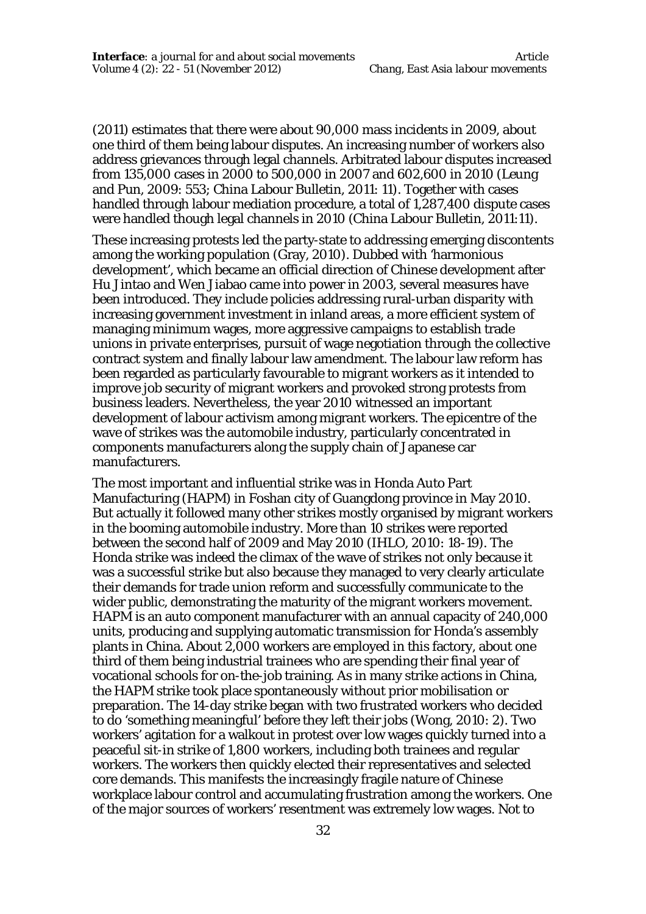(2011) estimates that there were about 90,000 mass incidents in 2009, about one third of them being labour disputes. An increasing number of workers also address grievances through legal channels. Arbitrated labour disputes increased from 135,000 cases in 2000 to 500,000 in 2007 and 602,600 in 2010 (Leung and Pun, 2009: 553; China Labour Bulletin, 2011: 11). Together with cases handled through labour mediation procedure, a total of 1,287,400 dispute cases were handled though legal channels in 2010 (China Labour Bulletin, 2011:11).

These increasing protests led the party-state to addressing emerging discontents among the working population (Gray, 2010). Dubbed with 'harmonious development', which became an official direction of Chinese development after Hu Jintao and Wen Jiabao came into power in 2003, several measures have been introduced. They include policies addressing rural-urban disparity with increasing government investment in inland areas, a more efficient system of managing minimum wages, more aggressive campaigns to establish trade unions in private enterprises, pursuit of wage negotiation through the collective contract system and finally labour law amendment. The labour law reform has been regarded as particularly favourable to migrant workers as it intended to improve job security of migrant workers and provoked strong protests from business leaders. Nevertheless, the year 2010 witnessed an important development of labour activism among migrant workers. The epicentre of the wave of strikes was the automobile industry, particularly concentrated in components manufacturers along the supply chain of Japanese car manufacturers.

The most important and influential strike was in Honda Auto Part Manufacturing (HAPM) in Foshan city of Guangdong province in May 2010. But actually it followed many other strikes mostly organised by migrant workers in the booming automobile industry. More than 10 strikes were reported between the second half of 2009 and May 2010 (IHLO, 2010: 18-19). The Honda strike was indeed the climax of the wave of strikes not only because it was a successful strike but also because they managed to very clearly articulate their demands for trade union reform and successfully communicate to the wider public, demonstrating the maturity of the migrant workers movement. HAPM is an auto component manufacturer with an annual capacity of 240,000 units, producing and supplying automatic transmission for Honda's assembly plants in China. About 2,000 workers are employed in this factory, about one third of them being industrial trainees who are spending their final year of vocational schools for on-the-job training. As in many strike actions in China, the HAPM strike took place spontaneously without prior mobilisation or preparation. The 14-day strike began with two frustrated workers who decided to do 'something meaningful' before they left their jobs (Wong, 2010: 2). Two workers' agitation for a walkout in protest over low wages quickly turned into a peaceful sit-in strike of 1,800 workers, including both trainees and regular workers. The workers then quickly elected their representatives and selected core demands. This manifests the increasingly fragile nature of Chinese workplace labour control and accumulating frustration among the workers. One of the major sources of workers' resentment was extremely low wages. Not to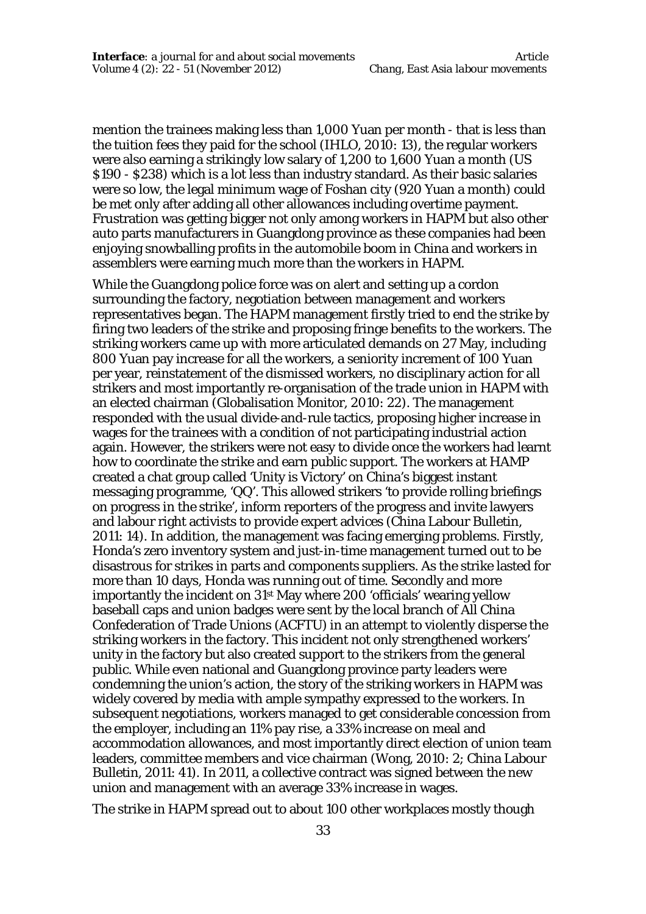mention the trainees making less than 1,000 Yuan per month - that is less than the tuition fees they paid for the school (IHLO, 2010: 13), the regular workers were also earning a strikingly low salary of 1,200 to 1,600 Yuan a month (US \$190 - \$238) which is a lot less than industry standard. As their basic salaries were so low, the legal minimum wage of Foshan city (920 Yuan a month) could be met only after adding all other allowances including overtime payment. Frustration was getting bigger not only among workers in HAPM but also other auto parts manufacturers in Guangdong province as these companies had been enjoying snowballing profits in the automobile boom in China and workers in assemblers were earning much more than the workers in HAPM.

While the Guangdong police force was on alert and setting up a cordon surrounding the factory, negotiation between management and workers representatives began. The HAPM management firstly tried to end the strike by firing two leaders of the strike and proposing fringe benefits to the workers. The striking workers came up with more articulated demands on 27 May, including 800 Yuan pay increase for all the workers, a seniority increment of 100 Yuan per year, reinstatement of the dismissed workers, no disciplinary action for all strikers and most importantly re-organisation of the trade union in HAPM with an elected chairman (Globalisation Monitor, 2010: 22). The management responded with the usual divide-and-rule tactics, proposing higher increase in wages for the trainees with a condition of not participating industrial action again. However, the strikers were not easy to divide once the workers had learnt how to coordinate the strike and earn public support. The workers at HAMP created a chat group called 'Unity is Victory' on China's biggest instant messaging programme, 'QQ'. This allowed strikers 'to provide rolling briefings on progress in the strike', inform reporters of the progress and invite lawyers and labour right activists to provide expert advices (China Labour Bulletin, 2011: 14). In addition, the management was facing emerging problems. Firstly, Honda's zero inventory system and just-in-time management turned out to be disastrous for strikes in parts and components suppliers. As the strike lasted for more than 10 days, Honda was running out of time. Secondly and more importantly the incident on 31st May where 200 'officials' wearing yellow baseball caps and union badges were sent by the local branch of All China Confederation of Trade Unions (ACFTU) in an attempt to violently disperse the striking workers in the factory. This incident not only strengthened workers' unity in the factory but also created support to the strikers from the general public. While even national and Guangdong province party leaders were condemning the union's action, the story of the striking workers in HAPM was widely covered by media with ample sympathy expressed to the workers. In subsequent negotiations, workers managed to get considerable concession from the employer, including an 11% pay rise, a 33% increase on meal and accommodation allowances, and most importantly direct election of union team leaders, committee members and vice chairman (Wong, 2010: 2; China Labour Bulletin, 2011: 41). In 2011, a collective contract was signed between the new union and management with an average 33% increase in wages.

The strike in HAPM spread out to about 100 other workplaces mostly though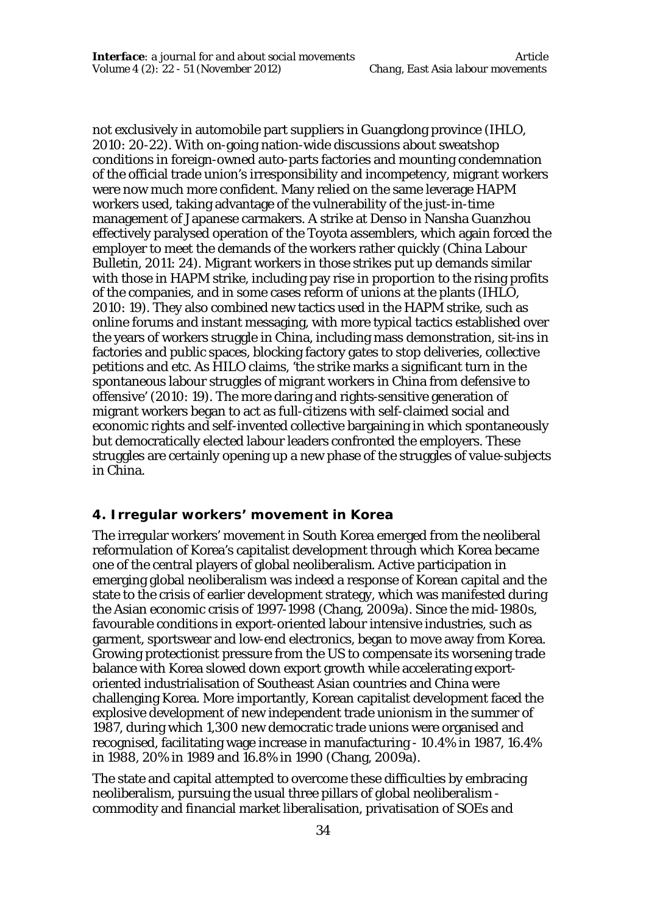not exclusively in automobile part suppliers in Guangdong province (IHLO, 2010: 20-22). With on-going nation-wide discussions about sweatshop conditions in foreign-owned auto-parts factories and mounting condemnation of the official trade union's irresponsibility and incompetency, migrant workers were now much more confident. Many relied on the same leverage HAPM workers used, taking advantage of the vulnerability of the just-in-time management of Japanese carmakers. A strike at Denso in Nansha Guanzhou effectively paralysed operation of the Toyota assemblers, which again forced the employer to meet the demands of the workers rather quickly (China Labour Bulletin, 2011: 24). Migrant workers in those strikes put up demands similar with those in HAPM strike, including pay rise in proportion to the rising profits of the companies, and in some cases reform of unions at the plants (IHLO, 2010: 19). They also combined new tactics used in the HAPM strike, such as online forums and instant messaging, with more typical tactics established over the years of workers struggle in China, including mass demonstration, sit-ins in factories and public spaces, blocking factory gates to stop deliveries, collective petitions and etc. As HILO claims, 'the strike marks a significant turn in the spontaneous labour struggles of migrant workers in China from defensive to offensive' (2010: 19). The more daring and rights-sensitive generation of migrant workers began to act as full-citizens with self-claimed social and economic rights and self-invented collective bargaining in which spontaneously but democratically elected labour leaders confronted the employers. These struggles are certainly opening up a new phase of the struggles of value-subjects in China.

#### **4. Irregular workers' movement in Korea**

The irregular workers' movement in South Korea emerged from the neoliberal reformulation of Korea's capitalist development through which Korea became one of the central players of global neoliberalism. Active participation in emerging global neoliberalism was indeed a response of Korean capital and the state to the crisis of earlier development strategy, which was manifested during the Asian economic crisis of 1997-1998 (Chang, 2009a). Since the mid-1980s, favourable conditions in export-oriented labour intensive industries, such as garment, sportswear and low-end electronics, began to move away from Korea. Growing protectionist pressure from the US to compensate its worsening trade balance with Korea slowed down export growth while accelerating exportoriented industrialisation of Southeast Asian countries and China were challenging Korea. More importantly, Korean capitalist development faced the explosive development of new independent trade unionism in the summer of 1987, during which 1,300 new democratic trade unions were organised and recognised, facilitating wage increase in manufacturing - 10.4% in 1987, 16.4% in 1988, 20% in 1989 and 16.8% in 1990 (Chang, 2009a).

The state and capital attempted to overcome these difficulties by embracing neoliberalism, pursuing the usual three pillars of global neoliberalism commodity and financial market liberalisation, privatisation of SOEs and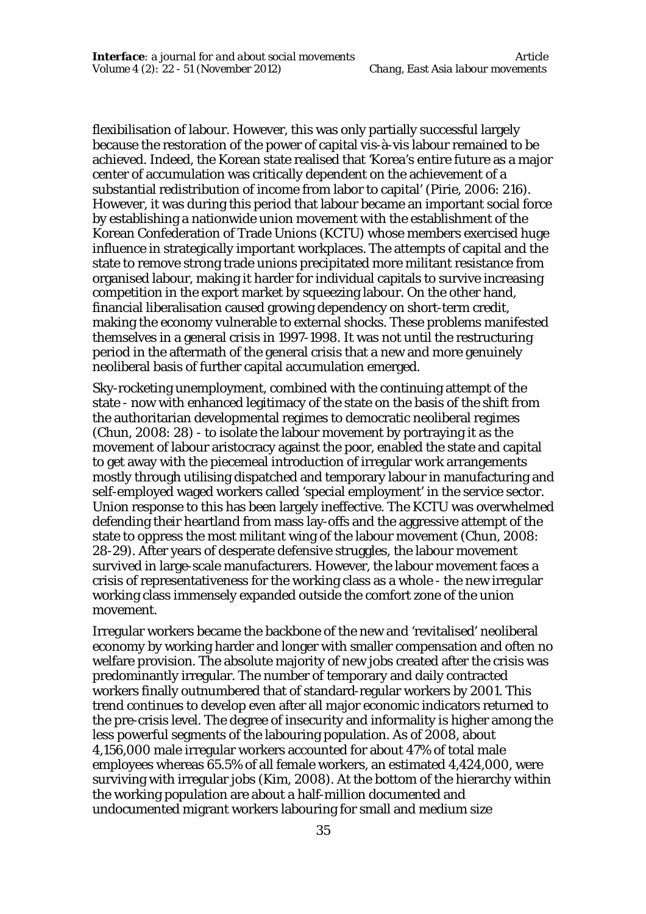flexibilisation of labour. However, this was only partially successful largely because the restoration of the power of capital vis-à-vis labour remained to be achieved. Indeed, the Korean state realised that 'Korea's entire future as a major center of accumulation was critically dependent on the achievement of a substantial redistribution of income from labor to capital' (Pirie, 2006: 216). However, it was during this period that labour became an important social force by establishing a nationwide union movement with the establishment of the Korean Confederation of Trade Unions (KCTU) whose members exercised huge influence in strategically important workplaces. The attempts of capital and the state to remove strong trade unions precipitated more militant resistance from organised labour, making it harder for individual capitals to survive increasing competition in the export market by squeezing labour. On the other hand, financial liberalisation caused growing dependency on short-term credit, making the economy vulnerable to external shocks. These problems manifested themselves in a general crisis in 1997-1998. It was not until the restructuring period in the aftermath of the general crisis that a new and more genuinely neoliberal basis of further capital accumulation emerged.

Sky-rocketing unemployment, combined with the continuing attempt of the state - now with enhanced legitimacy of the state on the basis of the shift from the authoritarian developmental regimes to democratic neoliberal regimes (Chun, 2008: 28) - to isolate the labour movement by portraying it as the movement of labour aristocracy against the poor, enabled the state and capital to get away with the piecemeal introduction of irregular work arrangements mostly through utilising dispatched and temporary labour in manufacturing and self-employed waged workers called 'special employment' in the service sector. Union response to this has been largely ineffective. The KCTU was overwhelmed defending their heartland from mass lay-offs and the aggressive attempt of the state to oppress the most militant wing of the labour movement (Chun, 2008: 28-29). After years of desperate defensive struggles, the labour movement survived in large-scale manufacturers. However, the labour movement faces a crisis of representativeness for the working class as a whole - the new irregular working class immensely expanded outside the comfort zone of the union movement.

Irregular workers became the backbone of the new and 'revitalised' neoliberal economy by working harder and longer with smaller compensation and often no welfare provision. The absolute majority of new jobs created after the crisis was predominantly irregular. The number of temporary and daily contracted workers finally outnumbered that of standard-regular workers by 2001. This trend continues to develop even after all major economic indicators returned to the pre-crisis level. The degree of insecurity and informality is higher among the less powerful segments of the labouring population. As of 2008, about 4,156,000 male irregular workers accounted for about 47% of total male employees whereas 65.5% of all female workers, an estimated 4,424,000, were surviving with irregular jobs (Kim, 2008). At the bottom of the hierarchy within the working population are about a half-million documented and undocumented migrant workers labouring for small and medium size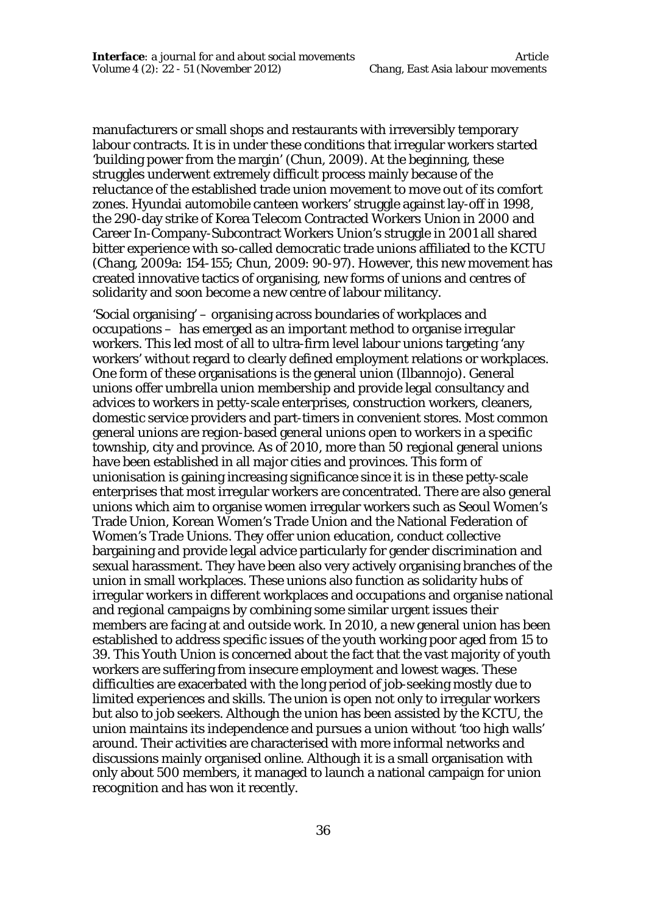manufacturers or small shops and restaurants with irreversibly temporary labour contracts. It is in under these conditions that irregular workers started 'building power from the margin' (Chun, 2009). At the beginning, these struggles underwent extremely difficult process mainly because of the reluctance of the established trade union movement to move out of its comfort zones. Hyundai automobile canteen workers' struggle against lay-off in 1998, the 290-day strike of Korea Telecom Contracted Workers Union in 2000 and Career In-Company-Subcontract Workers Union's struggle in 2001 all shared bitter experience with so-called democratic trade unions affiliated to the KCTU (Chang, 2009a: 154-155; Chun, 2009: 90-97). However, this new movement has created innovative tactics of organising, new forms of unions and centres of solidarity and soon become a new centre of labour militancy.

'Social organising' – organising across boundaries of workplaces and occupations – has emerged as an important method to organise irregular workers. This led most of all to ultra-firm level labour unions targeting 'any workers' without regard to clearly defined employment relations or workplaces. One form of these organisations is the general union (Ilbannojo). General unions offer umbrella union membership and provide legal consultancy and advices to workers in petty-scale enterprises, construction workers, cleaners, domestic service providers and part-timers in convenient stores. Most common general unions are region-based general unions open to workers in a specific township, city and province. As of 2010, more than 50 regional general unions have been established in all major cities and provinces. This form of unionisation is gaining increasing significance since it is in these petty-scale enterprises that most irregular workers are concentrated. There are also general unions which aim to organise women irregular workers such as Seoul Women's Trade Union, Korean Women's Trade Union and the National Federation of Women's Trade Unions. They offer union education, conduct collective bargaining and provide legal advice particularly for gender discrimination and sexual harassment. They have been also very actively organising branches of the union in small workplaces. These unions also function as solidarity hubs of irregular workers in different workplaces and occupations and organise national and regional campaigns by combining some similar urgent issues their members are facing at and outside work. In 2010, a new general union has been established to address specific issues of the youth working poor aged from 15 to 39. This Youth Union is concerned about the fact that the vast majority of youth workers are suffering from insecure employment and lowest wages. These difficulties are exacerbated with the long period of job-seeking mostly due to limited experiences and skills. The union is open not only to irregular workers but also to job seekers. Although the union has been assisted by the KCTU, the union maintains its independence and pursues a union without 'too high walls' around. Their activities are characterised with more informal networks and discussions mainly organised online. Although it is a small organisation with only about 500 members, it managed to launch a national campaign for union recognition and has won it recently.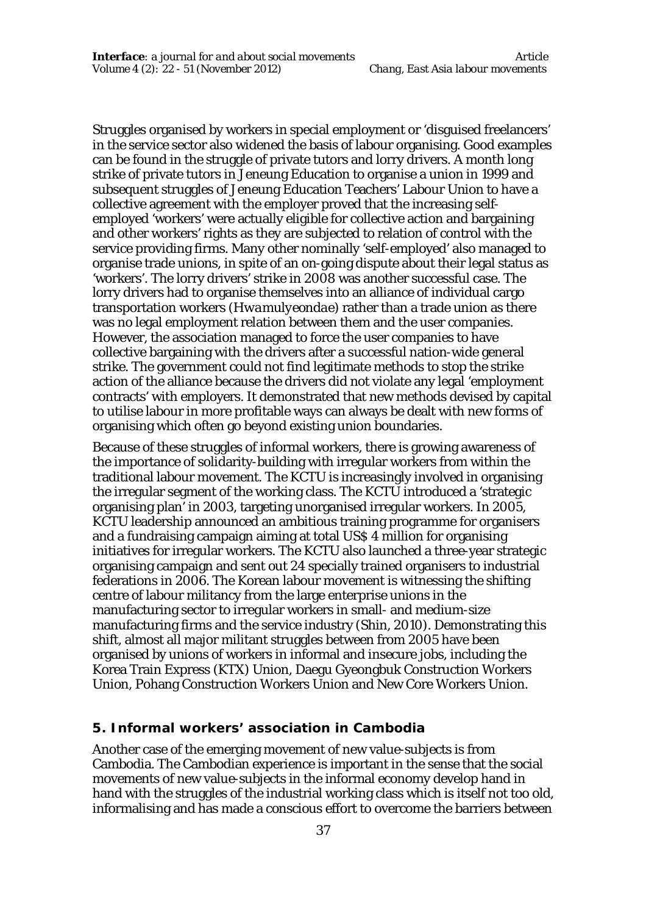Struggles organised by workers in special employment or 'disguised freelancers' in the service sector also widened the basis of labour organising. Good examples can be found in the struggle of private tutors and lorry drivers. A month long strike of private tutors in Jeneung Education to organise a union in 1999 and subsequent struggles of Jeneung Education Teachers' Labour Union to have a collective agreement with the employer proved that the increasing selfemployed 'workers' were actually eligible for collective action and bargaining and other workers' rights as they are subjected to relation of control with the service providing firms. Many other nominally 'self-employed' also managed to organise trade unions, in spite of an on-going dispute about their legal status as 'workers'. The lorry drivers' strike in 2008 was another successful case. The lorry drivers had to organise themselves into an alliance of individual cargo transportation workers (*Hwamulyeondae*) rather than a trade union as there was no legal employment relation between them and the user companies. However, the association managed to force the user companies to have collective bargaining with the drivers after a successful nation-wide general strike. The government could not find legitimate methods to stop the strike action of the alliance because the drivers did not violate any legal 'employment contracts' with employers. It demonstrated that new methods devised by capital to utilise labour in more profitable ways can always be dealt with new forms of organising which often go beyond existing union boundaries.

Because of these struggles of informal workers, there is growing awareness of the importance of solidarity-building with irregular workers from within the traditional labour movement. The KCTU is increasingly involved in organising the irregular segment of the working class. The KCTU introduced a 'strategic organising plan' in 2003, targeting unorganised irregular workers. In 2005, KCTU leadership announced an ambitious training programme for organisers and a fundraising campaign aiming at total US\$ 4 million for organising initiatives for irregular workers. The KCTU also launched a three-year strategic organising campaign and sent out 24 specially trained organisers to industrial federations in 2006. The Korean labour movement is witnessing the shifting centre of labour militancy from the large enterprise unions in the manufacturing sector to irregular workers in small- and medium-size manufacturing firms and the service industry (Shin, 2010). Demonstrating this shift, almost all major militant struggles between from 2005 have been organised by unions of workers in informal and insecure jobs, including the Korea Train Express (KTX) Union, Daegu Gyeongbuk Construction Workers Union, Pohang Construction Workers Union and New Core Workers Union.

#### **5. Informal workers' association in Cambodia**

Another case of the emerging movement of new value-subjects is from Cambodia. The Cambodian experience is important in the sense that the social movements of new value-subjects in the informal economy develop hand in hand with the struggles of the industrial working class which is itself not too old, informalising and has made a conscious effort to overcome the barriers between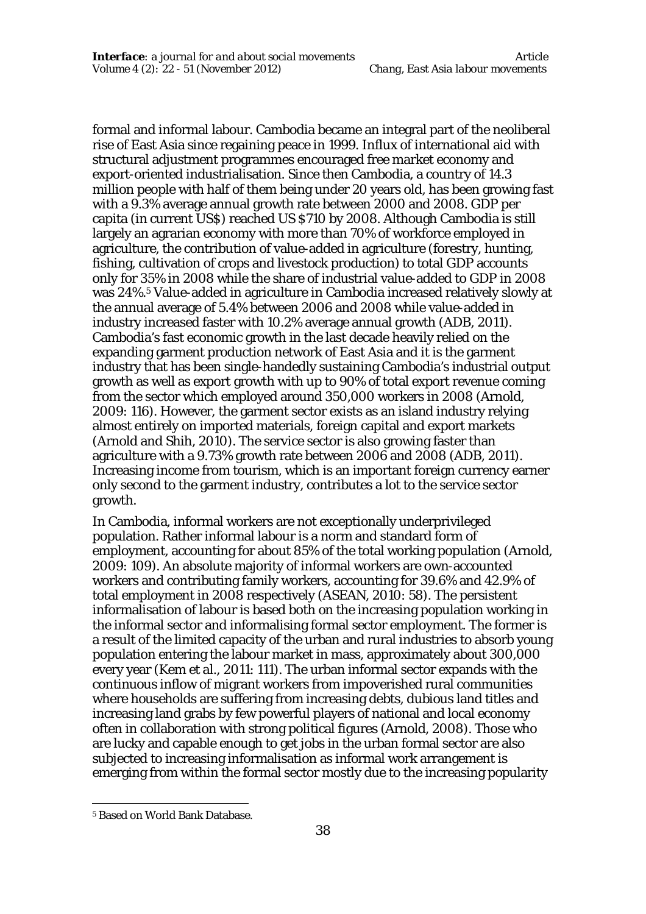formal and informal labour. Cambodia became an integral part of the neoliberal rise of East Asia since regaining peace in 1999. Influx of international aid with structural adjustment programmes encouraged free market economy and export-oriented industrialisation. Since then Cambodia, a country of 14.3 million people with half of them being under 20 years old, has been growing fast with a 9.3% average annual growth rate between 2000 and 2008. GDP per capita (in current US\$) reached US \$710 by 2008. Although Cambodia is still largely an agrarian economy with more than 70% of workforce employed in agriculture, the contribution of value-added in agriculture (forestry, hunting, fishing, cultivation of crops and livestock production) to total GDP accounts only for 35% in 2008 while the share of industrial value-added to GDP in 2008 was 24%.<sup>5</sup> Value-added in agriculture in Cambodia increased relatively slowly at the annual average of 5.4% between 2006 and 2008 while value-added in industry increased faster with 10.2% average annual growth (ADB, 2011). Cambodia's fast economic growth in the last decade heavily relied on the expanding garment production network of East Asia and it is the garment industry that has been single-handedly sustaining Cambodia's industrial output growth as well as export growth with up to 90% of total export revenue coming from the sector which employed around 350,000 workers in 2008 (Arnold, 2009: 116). However, the garment sector exists as an island industry relying almost entirely on imported materials, foreign capital and export markets (Arnold and Shih, 2010). The service sector is also growing faster than agriculture with a 9.73% growth rate between 2006 and 2008 (ADB, 2011). Increasing income from tourism, which is an important foreign currency earner only second to the garment industry, contributes a lot to the service sector growth.

In Cambodia, informal workers are not exceptionally underprivileged population. Rather informal labour is a norm and standard form of employment, accounting for about 85% of the total working population (Arnold, 2009: 109). An absolute majority of informal workers are own-accounted workers and contributing family workers, accounting for 39.6% and 42.9% of total employment in 2008 respectively (ASEAN, 2010: 58). The persistent informalisation of labour is based both on the increasing population working in the informal sector and informalising formal sector employment. The former is a result of the limited capacity of the urban and rural industries to absorb young population entering the labour market in mass, approximately about 300,000 every year (Kem et al., 2011: 111). The urban informal sector expands with the continuous inflow of migrant workers from impoverished rural communities where households are suffering from increasing debts, dubious land titles and increasing land grabs by few powerful players of national and local economy often in collaboration with strong political figures (Arnold, 2008). Those who are lucky and capable enough to get jobs in the urban formal sector are also subjected to increasing informalisation as informal work arrangement is emerging from within the formal sector mostly due to the increasing popularity

 $\overline{a}$ 

<sup>5</sup> Based on World Bank Database.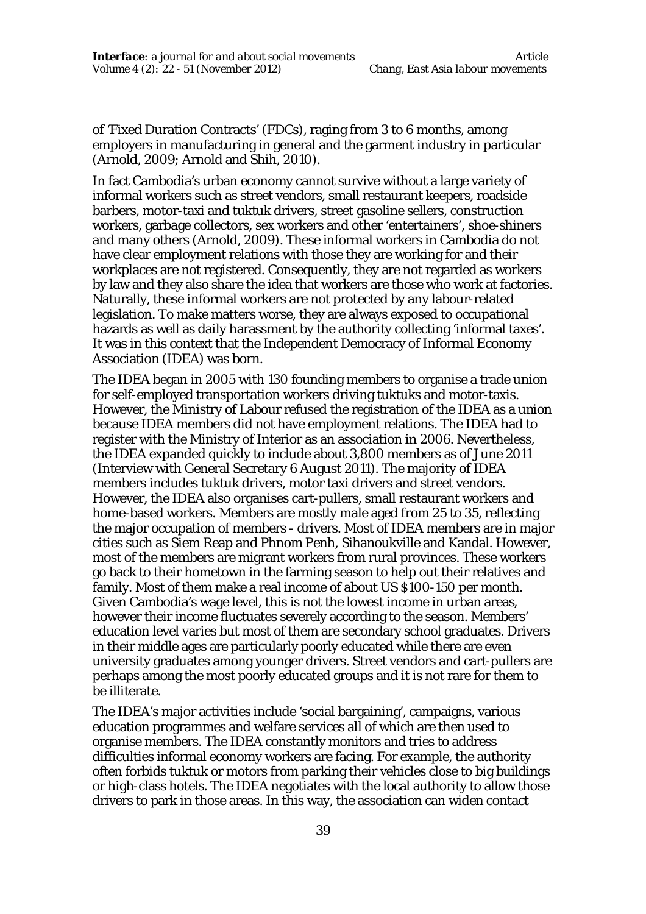of 'Fixed Duration Contracts' (FDCs), raging from 3 to 6 months, among employers in manufacturing in general and the garment industry in particular (Arnold, 2009; Arnold and Shih, 2010).

In fact Cambodia's urban economy cannot survive without a large variety of informal workers such as street vendors, small restaurant keepers, roadside barbers, motor-taxi and tuktuk drivers, street gasoline sellers, construction workers, garbage collectors, sex workers and other 'entertainers', shoe-shiners and many others (Arnold, 2009). These informal workers in Cambodia do not have clear employment relations with those they are working for and their workplaces are not registered. Consequently, they are not regarded as workers by law and they also share the idea that workers are those who work at factories. Naturally, these informal workers are not protected by any labour-related legislation. To make matters worse, they are always exposed to occupational hazards as well as daily harassment by the authority collecting 'informal taxes'. It was in this context that the Independent Democracy of Informal Economy Association (IDEA) was born.

The IDEA began in 2005 with 130 founding members to organise a trade union for self-employed transportation workers driving tuktuks and motor-taxis. However, the Ministry of Labour refused the registration of the IDEA as a union because IDEA members did not have employment relations. The IDEA had to register with the Ministry of Interior as an association in 2006. Nevertheless, the IDEA expanded quickly to include about 3,800 members as of June 2011 (Interview with General Secretary 6 August 2011). The majority of IDEA members includes tuktuk drivers, motor taxi drivers and street vendors. However, the IDEA also organises cart-pullers, small restaurant workers and home-based workers. Members are mostly male aged from 25 to 35, reflecting the major occupation of members - drivers. Most of IDEA members are in major cities such as Siem Reap and Phnom Penh, Sihanoukville and Kandal. However, most of the members are migrant workers from rural provinces. These workers go back to their hometown in the farming season to help out their relatives and family. Most of them make a real income of about US \$100-150 per month. Given Cambodia's wage level, this is not the lowest income in urban areas, however their income fluctuates severely according to the season. Members' education level varies but most of them are secondary school graduates. Drivers in their middle ages are particularly poorly educated while there are even university graduates among younger drivers. Street vendors and cart-pullers are perhaps among the most poorly educated groups and it is not rare for them to be illiterate.

The IDEA's major activities include 'social bargaining', campaigns, various education programmes and welfare services all of which are then used to organise members. The IDEA constantly monitors and tries to address difficulties informal economy workers are facing. For example, the authority often forbids tuktuk or motors from parking their vehicles close to big buildings or high-class hotels. The IDEA negotiates with the local authority to allow those drivers to park in those areas. In this way, the association can widen contact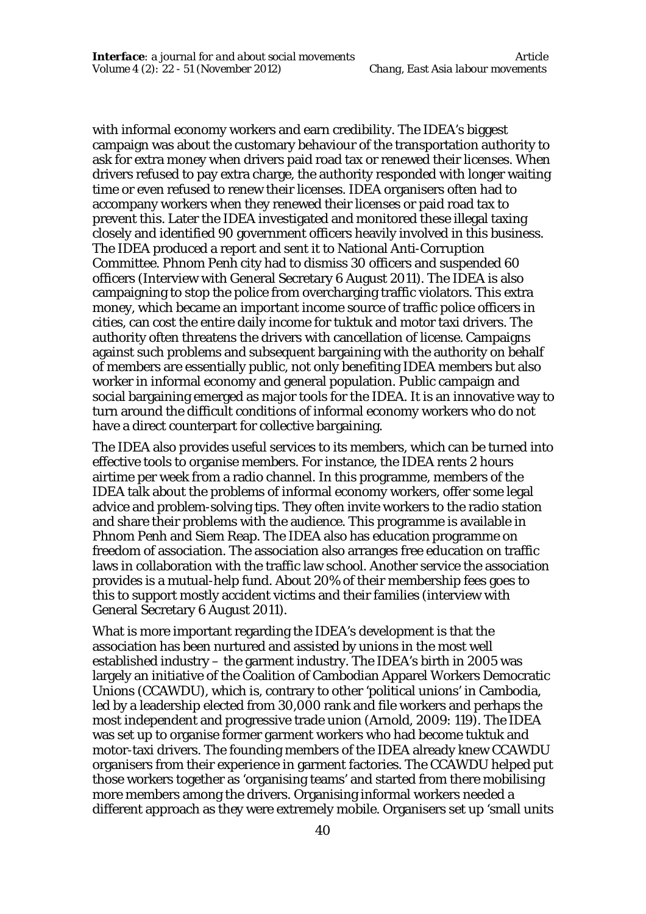with informal economy workers and earn credibility. The IDEA's biggest campaign was about the customary behaviour of the transportation authority to ask for extra money when drivers paid road tax or renewed their licenses. When drivers refused to pay extra charge, the authority responded with longer waiting time or even refused to renew their licenses. IDEA organisers often had to accompany workers when they renewed their licenses or paid road tax to prevent this. Later the IDEA investigated and monitored these illegal taxing closely and identified 90 government officers heavily involved in this business. The IDEA produced a report and sent it to National Anti-Corruption Committee. Phnom Penh city had to dismiss 30 officers and suspended 60 officers (Interview with General Secretary 6 August 2011). The IDEA is also campaigning to stop the police from overcharging traffic violators. This extra money, which became an important income source of traffic police officers in cities, can cost the entire daily income for tuktuk and motor taxi drivers. The authority often threatens the drivers with cancellation of license. Campaigns against such problems and subsequent bargaining with the authority on behalf of members are essentially public, not only benefiting IDEA members but also worker in informal economy and general population. Public campaign and social bargaining emerged as major tools for the IDEA. It is an innovative way to turn around the difficult conditions of informal economy workers who do not have a direct counterpart for collective bargaining.

The IDEA also provides useful services to its members, which can be turned into effective tools to organise members. For instance, the IDEA rents 2 hours airtime per week from a radio channel. In this programme, members of the IDEA talk about the problems of informal economy workers, offer some legal advice and problem-solving tips. They often invite workers to the radio station and share their problems with the audience. This programme is available in Phnom Penh and Siem Reap. The IDEA also has education programme on freedom of association. The association also arranges free education on traffic laws in collaboration with the traffic law school. Another service the association provides is a mutual-help fund. About 20% of their membership fees goes to this to support mostly accident victims and their families (interview with General Secretary 6 August 2011).

What is more important regarding the IDEA's development is that the association has been nurtured and assisted by unions in the most well established industry – the garment industry. The IDEA's birth in 2005 was largely an initiative of the Coalition of Cambodian Apparel Workers Democratic Unions (CCAWDU), which is, contrary to other 'political unions' in Cambodia, led by a leadership elected from 30,000 rank and file workers and perhaps the most independent and progressive trade union (Arnold, 2009: 119). The IDEA was set up to organise former garment workers who had become tuktuk and motor-taxi drivers. The founding members of the IDEA already knew CCAWDU organisers from their experience in garment factories. The CCAWDU helped put those workers together as 'organising teams' and started from there mobilising more members among the drivers. Organising informal workers needed a different approach as they were extremely mobile. Organisers set up 'small units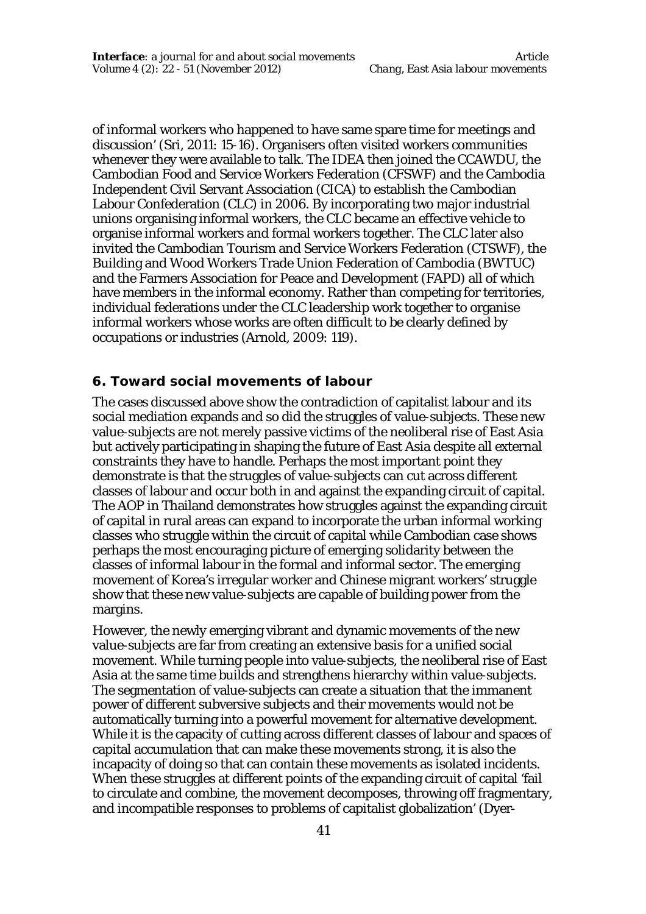of informal workers who happened to have same spare time for meetings and discussion' (Sri, 2011: 15-16). Organisers often visited workers communities whenever they were available to talk. The IDEA then joined the CCAWDU, the Cambodian Food and Service Workers Federation (CFSWF) and the Cambodia Independent Civil Servant Association (CICA) to establish the Cambodian Labour Confederation (CLC) in 2006. By incorporating two major industrial unions organising informal workers, the CLC became an effective vehicle to organise informal workers and formal workers together. The CLC later also invited the Cambodian Tourism and Service Workers Federation (CTSWF), the Building and Wood Workers Trade Union Federation of Cambodia (BWTUC) and the Farmers Association for Peace and Development (FAPD) all of which have members in the informal economy. Rather than competing for territories, individual federations under the CLC leadership work together to organise informal workers whose works are often difficult to be clearly defined by occupations or industries (Arnold, 2009: 119).

## **6. Toward social movements of labour**

The cases discussed above show the contradiction of capitalist labour and its social mediation expands and so did the struggles of value-subjects. These new value-subjects are not merely passive victims of the neoliberal rise of East Asia but actively participating in shaping the future of East Asia despite all external constraints they have to handle. Perhaps the most important point they demonstrate is that the struggles of value-subjects can cut across different classes of labour and occur both in and against the expanding circuit of capital. The AOP in Thailand demonstrates how struggles against the expanding circuit of capital in rural areas can expand to incorporate the urban informal working classes who struggle within the circuit of capital while Cambodian case shows perhaps the most encouraging picture of emerging solidarity between the classes of informal labour in the formal and informal sector. The emerging movement of Korea's irregular worker and Chinese migrant workers' struggle show that these new value-subjects are capable of building power from the margins.

However, the newly emerging vibrant and dynamic movements of the new value-subjects are far from creating an extensive basis for a unified social movement. While turning people into value-subjects, the neoliberal rise of East Asia at the same time builds and strengthens hierarchy within value-subjects. The segmentation of value-subjects can create a situation that the immanent power of different subversive subjects and their movements would not be automatically turning into a powerful movement for alternative development. While it is the capacity of cutting across different classes of labour and spaces of capital accumulation that can make these movements strong, it is also the incapacity of doing so that can contain these movements as isolated incidents. When these struggles at different points of the expanding circuit of capital 'fail to circulate and combine, the movement decomposes, throwing off fragmentary, and incompatible responses to problems of capitalist globalization' (Dyer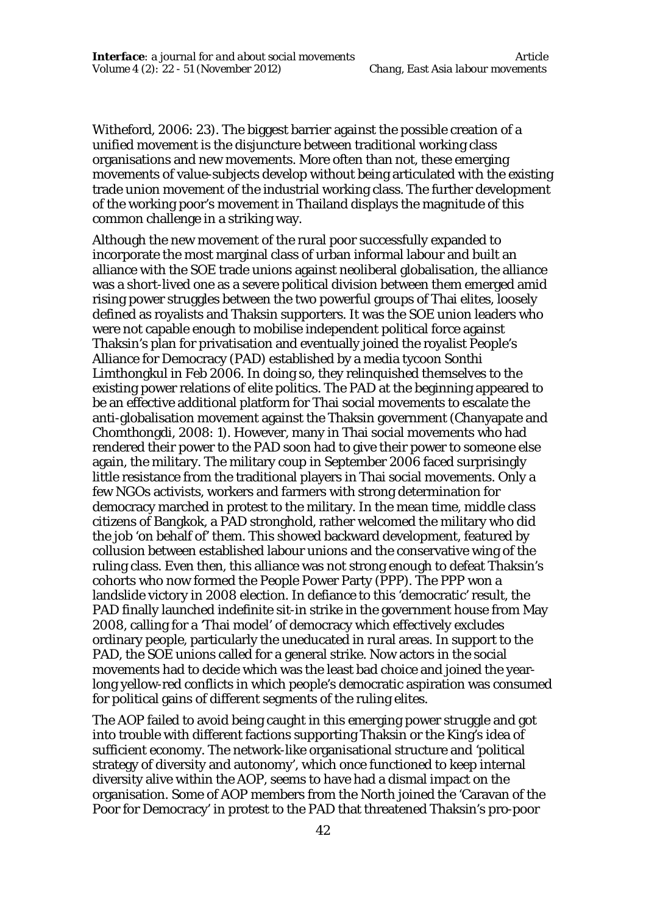Witheford, 2006: 23). The biggest barrier against the possible creation of a unified movement is the disjuncture between traditional working class organisations and new movements. More often than not, these emerging movements of value-subjects develop without being articulated with the existing trade union movement of the industrial working class. The further development of the working poor's movement in Thailand displays the magnitude of this common challenge in a striking way.

Although the new movement of the rural poor successfully expanded to incorporate the most marginal class of urban informal labour and built an alliance with the SOE trade unions against neoliberal globalisation, the alliance was a short-lived one as a severe political division between them emerged amid rising power struggles between the two powerful groups of Thai elites, loosely defined as royalists and Thaksin supporters. It was the SOE union leaders who were not capable enough to mobilise independent political force against Thaksin's plan for privatisation and eventually joined the royalist People's Alliance for Democracy (PAD) established by a media tycoon Sonthi Limthongkul in Feb 2006. In doing so, they relinquished themselves to the existing power relations of elite politics. The PAD at the beginning appeared to be an effective additional platform for Thai social movements to escalate the anti-globalisation movement against the Thaksin government (Chanyapate and Chomthongdi, 2008: 1). However, many in Thai social movements who had rendered their power to the PAD soon had to give their power to someone else again, the military. The military coup in September 2006 faced surprisingly little resistance from the traditional players in Thai social movements. Only a few NGOs activists, workers and farmers with strong determination for democracy marched in protest to the military. In the mean time, middle class citizens of Bangkok, a PAD stronghold, rather welcomed the military who did the job 'on behalf of' them. This showed backward development, featured by collusion between established labour unions and the conservative wing of the ruling class. Even then, this alliance was not strong enough to defeat Thaksin's cohorts who now formed the People Power Party (PPP). The PPP won a landslide victory in 2008 election. In defiance to this 'democratic' result, the PAD finally launched indefinite sit-in strike in the government house from May 2008, calling for a 'Thai model' of democracy which effectively excludes ordinary people, particularly the uneducated in rural areas. In support to the PAD, the SOE unions called for a general strike. Now actors in the social movements had to decide which was the least bad choice and joined the yearlong yellow-red conflicts in which people's democratic aspiration was consumed for political gains of different segments of the ruling elites.

The AOP failed to avoid being caught in this emerging power struggle and got into trouble with different factions supporting Thaksin or the King's idea of sufficient economy. The network-like organisational structure and 'political strategy of diversity and autonomy', which once functioned to keep internal diversity alive within the AOP, seems to have had a dismal impact on the organisation. Some of AOP members from the North joined the 'Caravan of the Poor for Democracy' in protest to the PAD that threatened Thaksin's pro-poor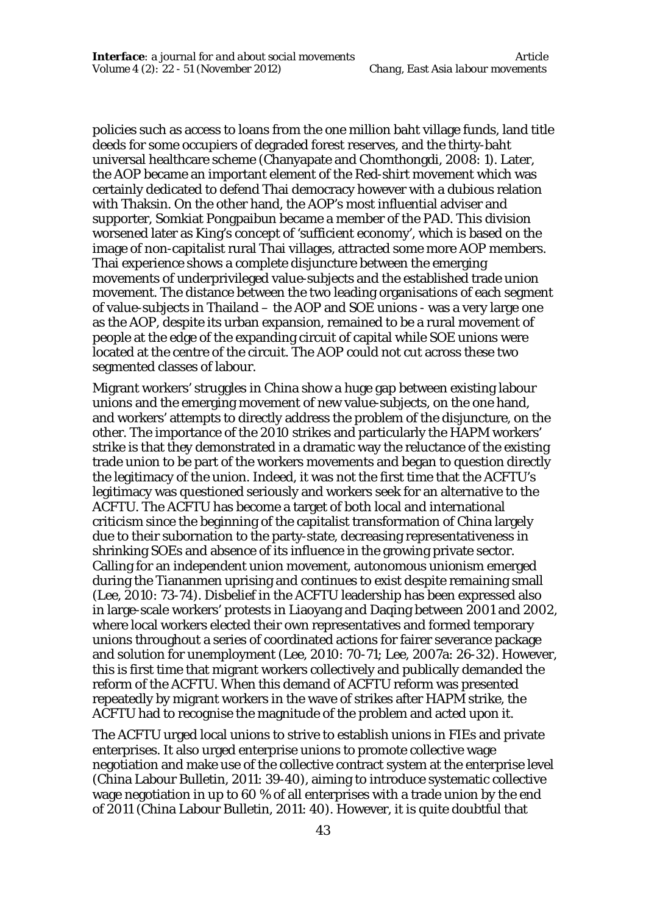policies such as access to loans from the one million baht village funds, land title deeds for some occupiers of degraded forest reserves, and the thirty-baht universal healthcare scheme (Chanyapate and Chomthongdi, 2008: 1). Later, the AOP became an important element of the Red-shirt movement which was certainly dedicated to defend Thai democracy however with a dubious relation with Thaksin. On the other hand, the AOP's most influential adviser and supporter, Somkiat Pongpaibun became a member of the PAD. This division worsened later as King's concept of 'sufficient economy', which is based on the image of non-capitalist rural Thai villages, attracted some more AOP members. Thai experience shows a complete disjuncture between the emerging movements of underprivileged value-subjects and the established trade union movement. The distance between the two leading organisations of each segment of value-subjects in Thailand – the AOP and SOE unions - was a very large one as the AOP, despite its urban expansion, remained to be a rural movement of people at the edge of the expanding circuit of capital while SOE unions were located at the centre of the circuit. The AOP could not cut across these two segmented classes of labour.

Migrant workers' struggles in China show a huge gap between existing labour unions and the emerging movement of new value-subjects, on the one hand, and workers' attempts to directly address the problem of the disjuncture, on the other. The importance of the 2010 strikes and particularly the HAPM workers' strike is that they demonstrated in a dramatic way the reluctance of the existing trade union to be part of the workers movements and began to question directly the legitimacy of the union. Indeed, it was not the first time that the ACFTU's legitimacy was questioned seriously and workers seek for an alternative to the ACFTU. The ACFTU has become a target of both local and international criticism since the beginning of the capitalist transformation of China largely due to their subornation to the party-state, decreasing representativeness in shrinking SOEs and absence of its influence in the growing private sector. Calling for an independent union movement, autonomous unionism emerged during the Tiananmen uprising and continues to exist despite remaining small (Lee, 2010: 73-74). Disbelief in the ACFTU leadership has been expressed also in large-scale workers' protests in Liaoyang and Daqing between 2001 and 2002, where local workers elected their own representatives and formed temporary unions throughout a series of coordinated actions for fairer severance package and solution for unemployment (Lee, 2010: 70-71; Lee, 2007a: 26-32). However, this is first time that migrant workers collectively and publically demanded the reform of the ACFTU. When this demand of ACFTU reform was presented repeatedly by migrant workers in the wave of strikes after HAPM strike, the ACFTU had to recognise the magnitude of the problem and acted upon it.

The ACFTU urged local unions to strive to establish unions in FIEs and private enterprises. It also urged enterprise unions to promote collective wage negotiation and make use of the collective contract system at the enterprise level (China Labour Bulletin, 2011: 39-40), aiming to introduce systematic collective wage negotiation in up to 60 % of all enterprises with a trade union by the end of 2011 (China Labour Bulletin, 2011: 40). However, it is quite doubtful that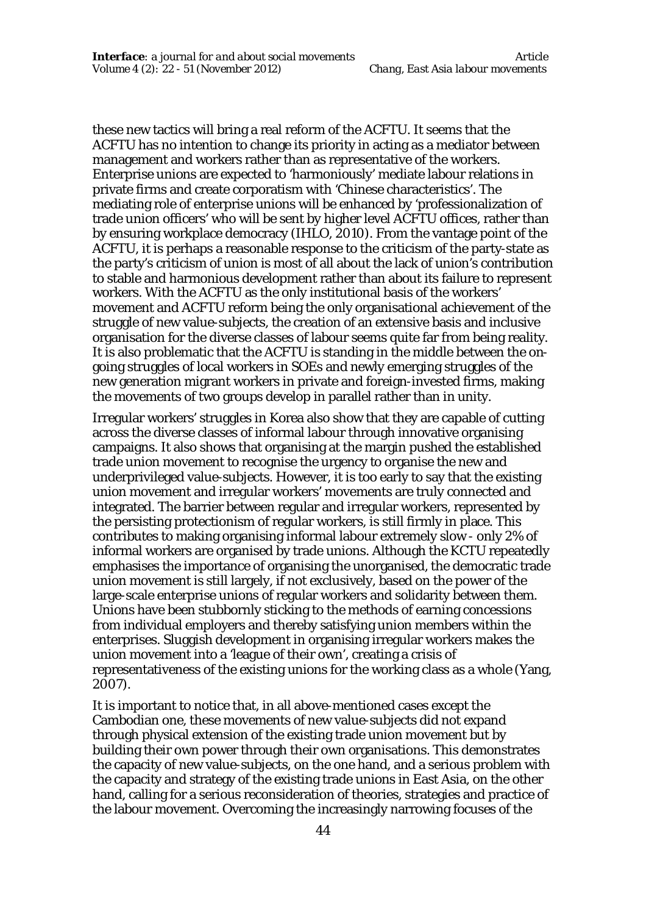these new tactics will bring a real reform of the ACFTU. It seems that the ACFTU has no intention to change its priority in acting as a mediator between management and workers rather than as representative of the workers. Enterprise unions are expected to 'harmoniously' mediate labour relations in private firms and create corporatism with 'Chinese characteristics'. The mediating role of enterprise unions will be enhanced by 'professionalization of trade union officers' who will be sent by higher level ACFTU offices, rather than by ensuring workplace democracy (IHLO, 2010). From the vantage point of the ACFTU, it is perhaps a reasonable response to the criticism of the party-state as the party's criticism of union is most of all about the lack of union's contribution to stable and harmonious development rather than about its failure to represent workers. With the ACFTU as the only institutional basis of the workers' movement and ACFTU reform being the only organisational achievement of the struggle of new value-subjects, the creation of an extensive basis and inclusive organisation for the diverse classes of labour seems quite far from being reality. It is also problematic that the ACFTU is standing in the middle between the ongoing struggles of local workers in SOEs and newly emerging struggles of the new generation migrant workers in private and foreign-invested firms, making the movements of two groups develop in parallel rather than in unity.

Irregular workers' struggles in Korea also show that they are capable of cutting across the diverse classes of informal labour through innovative organising campaigns. It also shows that organising at the margin pushed the established trade union movement to recognise the urgency to organise the new and underprivileged value-subjects. However, it is too early to say that the existing union movement and irregular workers' movements are truly connected and integrated. The barrier between regular and irregular workers, represented by the persisting protectionism of regular workers, is still firmly in place. This contributes to making organising informal labour extremely slow - only 2% of informal workers are organised by trade unions. Although the KCTU repeatedly emphasises the importance of organising the unorganised, the democratic trade union movement is still largely, if not exclusively, based on the power of the large-scale enterprise unions of regular workers and solidarity between them. Unions have been stubbornly sticking to the methods of earning concessions from individual employers and thereby satisfying union members within the enterprises. Sluggish development in organising irregular workers makes the union movement into a 'league of their own', creating a crisis of representativeness of the existing unions for the working class as a whole (Yang, 2007).

It is important to notice that, in all above-mentioned cases except the Cambodian one, these movements of new value-subjects did *not* expand through physical extension of the existing trade union movement but by building their own power through their own organisations. This demonstrates the capacity of new value-subjects, on the one hand, and a serious problem with the capacity and strategy of the existing trade unions in East Asia, on the other hand, calling for a serious reconsideration of theories, strategies and practice of the labour movement. Overcoming the increasingly narrowing focuses of the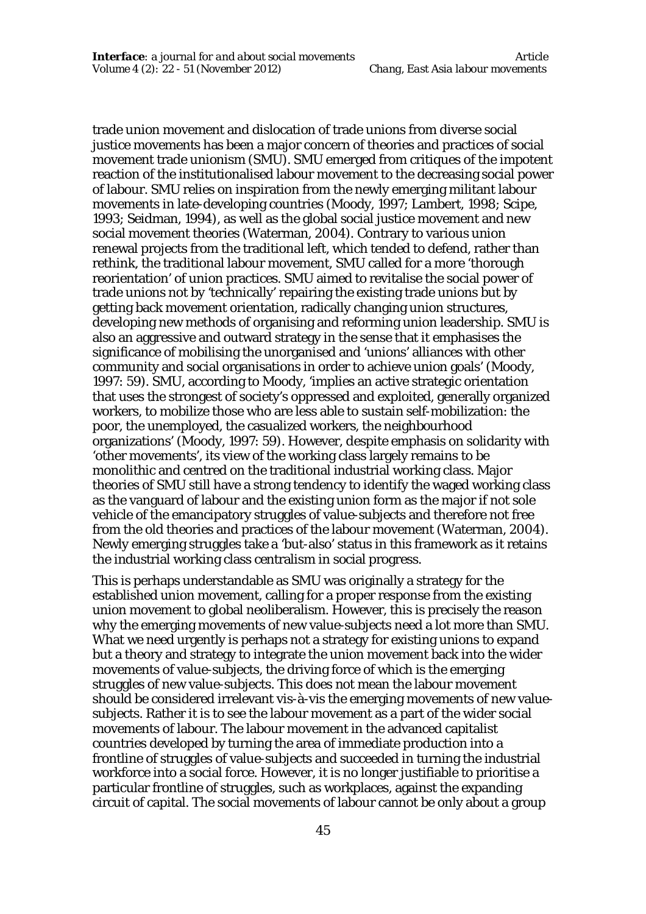trade union movement and dislocation of trade unions from diverse social justice movements has been a major concern of theories and practices of social movement trade unionism (SMU). SMU emerged from critiques of the impotent reaction of the institutionalised labour movement to the decreasing social power of labour. SMU relies on inspiration from the newly emerging militant labour movements in late-developing countries (Moody, 1997; Lambert, 1998; Scipe, 1993; Seidman, 1994), as well as the global social justice movement and new social movement theories (Waterman, 2004). Contrary to various union renewal projects from the traditional left, which tended to defend, rather than rethink, the traditional labour movement, SMU called for a more 'thorough reorientation' of union practices. SMU aimed to revitalise the social power of trade unions not by 'technically' repairing the existing trade unions but by getting back movement orientation, radically changing union structures, developing new methods of organising and reforming union leadership. SMU is also an aggressive and outward strategy in the sense that it emphasises the significance of mobilising the unorganised and 'unions' alliances with other community and social organisations in order to achieve union goals' (Moody, 1997: 59). SMU, according to Moody, 'implies an active strategic orientation that uses the strongest of society's oppressed and exploited, generally organized workers, to mobilize those who are less able to sustain self-mobilization: the poor, the unemployed, the casualized workers, the neighbourhood organizations' (Moody, 1997: 59). However, despite emphasis on solidarity with 'other movements', its view of the working class largely remains to be monolithic and centred on the traditional industrial working class. Major theories of SMU still have a strong tendency to identify the waged working class as the vanguard of labour and the existing union form as the major if not sole vehicle of the emancipatory struggles of value-subjects and therefore not free from the old theories and practices of the labour movement (Waterman, 2004). Newly emerging struggles take a 'but-also' status in this framework as it retains the industrial working class centralism in social progress.

This is perhaps understandable as SMU was originally a strategy for the established union movement, calling for a proper response from the existing union movement to global neoliberalism. However, this is precisely the reason why the emerging movements of new value-subjects need a lot more than SMU. What we need urgently is perhaps not a strategy for existing unions to expand but a theory and strategy to integrate the union movement back into the wider movements of value-subjects, the driving force of which is the emerging struggles of new value-subjects. This does not mean the labour movement should be considered irrelevant vis-à-vis the emerging movements of new valuesubjects. Rather it is to see the labour movement as a part of the wider social movements of labour. The labour movement in the advanced capitalist countries developed by turning the area of immediate production into a frontline of struggles of value-subjects and succeeded in turning the industrial workforce into a social force. However, it is no longer justifiable to prioritise a particular frontline of struggles, such as workplaces, against the expanding circuit of capital. The social movements of labour cannot be only about a group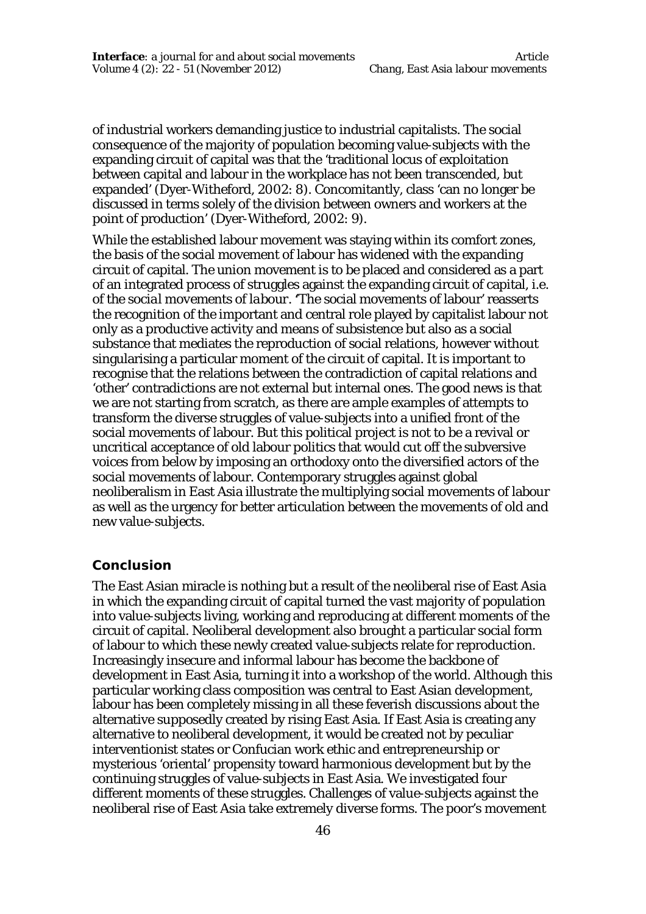of industrial workers demanding justice to industrial capitalists. The social consequence of the majority of population becoming value-subjects with the expanding circuit of capital was that the 'traditional locus of exploitation between capital and labour in the workplace has not been transcended, but expanded' (Dyer-Witheford, 2002: 8). Concomitantly, class 'can no longer be discussed in terms solely of the division between owners and workers at the point of production' (Dyer-Witheford, 2002: 9).

While the established labour movement was staying within its comfort zones, the basis of the social movement of labour has widened with the expanding circuit of capital. The union movement is to be placed and considered as a part of an integrated process of struggles against the expanding circuit of capital, i.e. of *the social movements of labour*. **'**The social movements of labour' reasserts the recognition of the important and central role played by capitalist labour not only as a productive activity and means of subsistence but also as a social substance that mediates the reproduction of social relations, however without singularising a particular moment of the circuit of capital. It is important to recognise that the relations between the contradiction of capital relations and 'other' contradictions are not external but internal ones. The good news is that we are not starting from scratch, as there are ample examples of attempts to transform the diverse struggles of value-subjects into a unified front of the social movements of labour. But this political project is not to be a revival or uncritical acceptance of old labour politics that would cut off the subversive voices from below by imposing an orthodoxy onto the diversified actors of the social movements of labour. Contemporary struggles against global neoliberalism in East Asia illustrate the multiplying social movements of labour as well as the urgency for better articulation between the movements of old and new value-subjects.

#### **Conclusion**

The East Asian miracle is nothing but a result of the neoliberal rise of East Asia in which the expanding circuit of capital turned the vast majority of population into value-subjects living, working and reproducing at different moments of the circuit of capital. Neoliberal development also brought a particular social form of labour to which these newly created value-subjects relate for reproduction. Increasingly insecure and informal labour has become the backbone of development in East Asia, turning it into a workshop of the world. Although this particular working class composition was central to East Asian development, labour has been completely missing in all these feverish discussions about the alternative supposedly created by rising East Asia. If East Asia is creating any alternative to neoliberal development, it would be created not by peculiar interventionist states or Confucian work ethic and entrepreneurship or mysterious 'oriental' propensity toward harmonious development but by the continuing struggles of value-subjects in East Asia. We investigated four different moments of these struggles. Challenges of value-subjects against the neoliberal rise of East Asia take extremely diverse forms. The poor's movement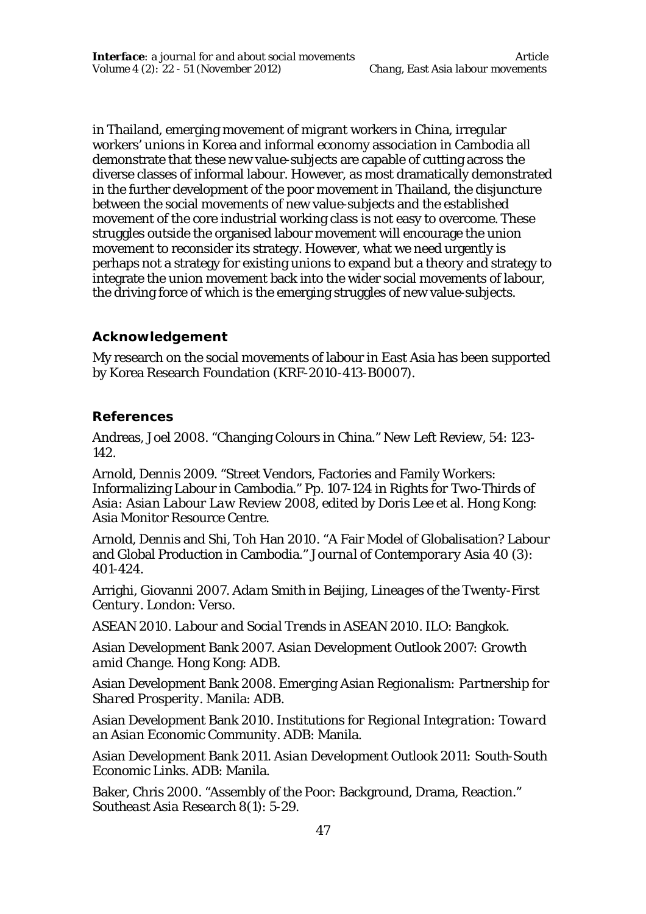in Thailand, emerging movement of migrant workers in China, irregular workers' unions in Korea and informal economy association in Cambodia all demonstrate that these new value-subjects are capable of cutting across the diverse classes of informal labour. However, as most dramatically demonstrated in the further development of the poor movement in Thailand, the disjuncture between the social movements of new value-subjects and the established movement of the core industrial working class is not easy to overcome. These struggles outside the organised labour movement will encourage the union movement to reconsider its strategy. However, what we need urgently is perhaps not a strategy for existing unions to expand but a theory and strategy to integrate the union movement back into the wider social movements of labour, the driving force of which is the emerging struggles of new value-subjects.

## **Acknowledgement**

My research on the social movements of labour in East Asia has been supported by Korea Research Foundation (KRF-2010-413-B0007).

## **References**

Andreas, Joel 2008. "Changing Colours in China." *New Left Review*, 54: 123- 142.

Arnold, Dennis 2009. "Street Vendors, Factories and Family Workers: Informalizing Labour in Cambodia." Pp. 107-124 in *Rights for Two-Thirds of Asia: Asian Labour Law Review 2008*, edited by Doris Lee et al. Hong Kong: Asia Monitor Resource Centre.

Arnold, Dennis and Shi, Toh Han 2010. "A Fair Model of Globalisation? Labour and Global Production in Cambodia." *Journal of Contemporary Asia* 40 (3): 401-424.

Arrighi, Giovanni 2007. *Adam Smith in Beijing, Lineages of the Twenty-First Century.* London: Verso.

ASEAN 2010. *Labour and Social Trends in ASEAN 2010.* ILO: Bangkok.

Asian Development Bank 2007. *Asian Development Outlook 2007: Growth amid Change.* Hong Kong: ADB.

Asian Development Bank 2008. *Emerging Asian Regionalism: Partnership for Shared Prosperity.* Manila: ADB.

Asian Development Bank 2010. *Institutions for Regional Integration: Toward an Asian Economic Community.* ADB: Manila.

Asian Development Bank 2011. *Asian Development Outlook 2011: South-South Economic Links.* ADB: Manila.

Baker, Chris 2000. "Assembly of the Poor: Background, Drama, Reaction." *Southeast Asia Research* 8(1): 5-29.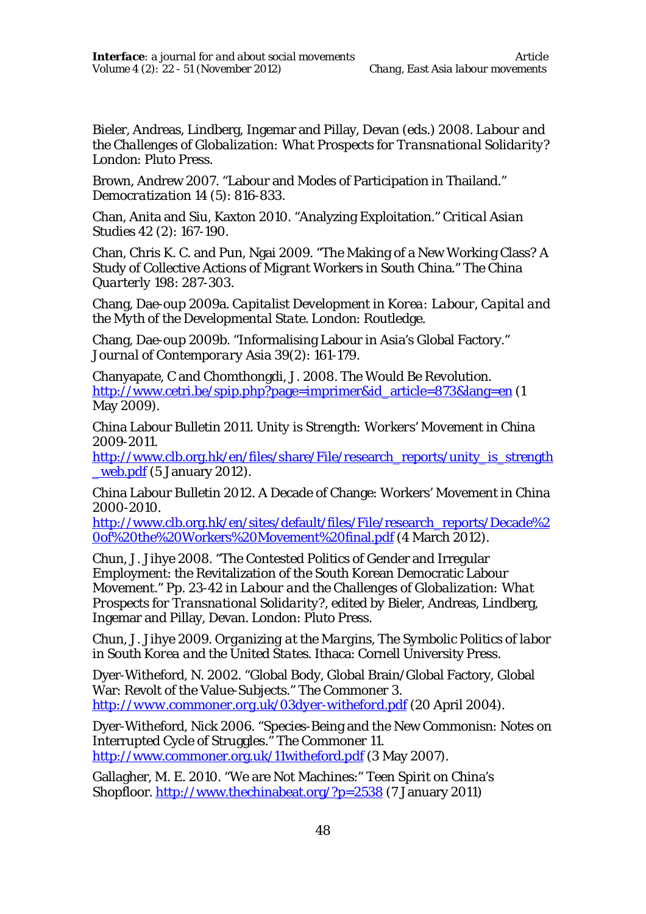Bieler, Andreas, Lindberg, Ingemar and Pillay, Devan (eds.) 2008. *Labour and the Challenges of Globalization: What Prospects for Transnational Solidarity?* London: Pluto Press.

Brown, Andrew 2007. "Labour and Modes of Participation in Thailand." *Democratization* 14 (5): 816-833.

Chan, Anita and Siu, Kaxton 2010. "Analyzing Exploitation." *Critical Asian Studies* 42 (2): 167-190.

Chan, Chris K. C. and Pun, Ngai 2009. "The Making of a New Working Class? A Study of Collective Actions of Migrant Workers in South China." *The China Quarterly* 198: 287-303.

Chang, Dae-oup 2009a. *Capitalist Development in Korea: Labour, Capital and the Myth of the Developmental State.* London: Routledge.

Chang, Dae-oup 2009b. "Informalising Labour in Asia's Global Factory." *Journal of Contemporary Asia* 39(2): 161-179.

Chanyapate, C and Chomthongdi, J. 2008. *The Would Be Revolution*. http://www.cetri.be/spip.php?page=imprimer&id\_article=873&lang=en (1 May 2009).

China Labour Bulletin 2011. *Unity is Strength: Workers' Movement in China 2009-2011.*

http://www.clb.org.hk/en/files/share/File/research\_reports/unity\_is\_strength\_ \_web.pdf (5 January 2012).

China Labour Bulletin 2012. A Decade of Change: Workers' Movement in China 2000-2010.

http://www.clb.org.hk/en/sites/default/files/File/research\_reports/Decade%2 0of%20the%20Workers%20Movement%20final.pdf (4 March 2012).

Chun, J. Jihye 2008. "The Contested Politics of Gender and Irregular Employment: the Revitalization of the South Korean Democratic Labour Movement." Pp. 23-42 in *Labour and the Challenges of Globalization: What Prospects for Transnational Solidarity?, edited by* Bieler, Andreas, Lindberg, Ingemar and Pillay, Devan. London: Pluto Press.

Chun, J. Jihye 2009. *Organizing at the Margins, The Symbolic Politics of labor in South Korea and the United States*. Ithaca: Cornell University Press.

Dyer-Witheford, N. 2002. "Global Body, Global Brain/Global Factory, Global War: Revolt of the Value-Subjects." *The Commoner* 3. *http://www.commoner.org.uk/03dyer-witheford.pdf* (20 April 2004).

Dyer-Witheford, Nick 2006. "Species-Being and the New Commonisn: Notes on Interrupted Cycle of Struggles." *The Commoner* 11. http://www.commoner.org.uk/11witheford.pdf (3 May 2007).

Gallagher, M. E. 2010. "We are Not Machines:" Teen Spirit on China's Shopfloor. http://www.thechinabeat.org/?p=2538 (7 January 2011)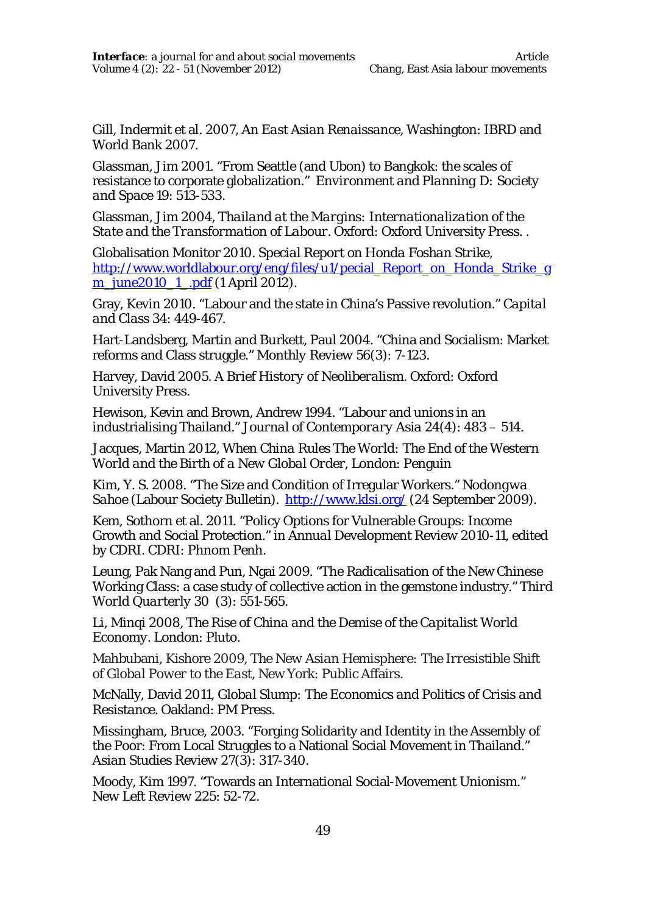Gill, Indermit et al. 2007, *An East Asian Renaissance,* Washington: IBRD and World Bank 2007.

Glassman, Jim 2001. "From Seattle (and Ubon) to Bangkok: the scales of resistance to corporate globalization." *Environment and Planning D: Society and Space* 19: 513-533.

Glassman, Jim 2004, *Thailand at the Margins: Internationalization of the State and the Transformation of Labour.* Oxford: Oxford University Press. .

Globalisation Monitor 2010. *Special Report on Honda Foshan Strike*, http://www.worldlabour.org/eng/files/u1/pecial\_Report\_on\_Honda\_Strike\_g m\_june2010\_1\_.pdf (1 April 2012).

Gray, Kevin 2010. "Labour and the state in China's Passive revolution." *Capital and Class* 34: 449-467.

Hart-Landsberg, Martin and Burkett, Paul 2004. "China and Socialism: Market reforms and Class struggle." *Monthly Review* 56(3): 7-123.

Harvey, David 2005. *A Brief History of Neoliberalism.* Oxford: Oxford University Press.

Hewison, Kevin and Brown, Andrew 1994. "Labour and unions in an industrialising Thailand." *Journal of Contemporary Asia* 24(4): 483 – 514.

Jacques, Martin 2012, *When China Rules The World: The End of the Western World and the Birth of a New Global Order*, London: Penguin

Kim, Y. S. 2008. "The Size and Condition of Irregular Workers." *Nodongwa Sahoe* (Labour Society Bulletin). http://www.klsi.org/ (24 September 2009).

Kem, Sothorn et al. 2011. "Policy Options for Vulnerable Groups: Income Growth and Social Protection." in *Annual Development Review 2010-11*, edited by CDRI. CDRI: Phnom Penh.

Leung, Pak Nang and Pun, Ngai 2009. "The Radicalisation of the New Chinese Working Class: a case study of collective action in the gemstone industry." *Third World Quarterly* 30 (3): 551-565.

Li, Minqi 2008, *The Rise of China and the Demise of the Capitalist World Economy.* London: Pluto.

Mahbubani, Kishore 2009*, The New Asian Hemisphere: The Irresistible Shift of Global Power to the East,* New York: Public Affairs.

McNally, David 2011, *Global Slump: The Economics and Politics of Crisis and Resistance.* Oakland: PM Press.

Missingham, Bruce, 2003. "Forging Solidarity and Identity in the Assembly of the Poor: From Local Struggles to a National Social Movement in Thailand." *Asian Studies Review* 27(3): 317-340.

Moody, Kim 1997. "Towards an International Social-Movement Unionism." *New Left Review* 225: 52-72.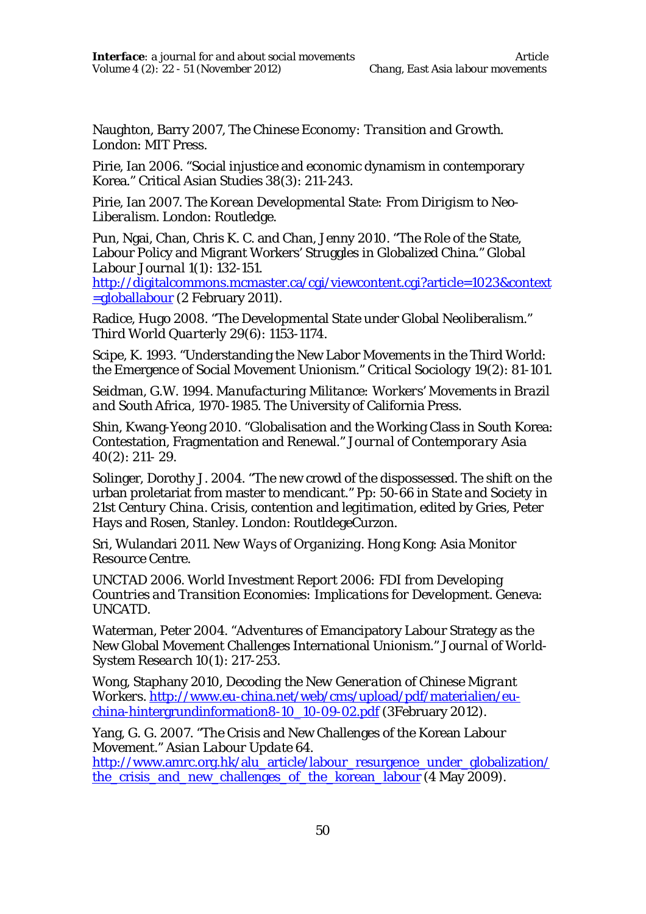Naughton, Barry 2007, *The Chinese Economy: Transition and Growth.* London: MIT Press.

Pirie, Ian 2006. "Social injustice and economic dynamism in contemporary Korea." Critical Asian Studies 38(3): 211-243.

Pirie, Ian 2007. *The Korean Developmental State: From Dirigism to Neo-Liberalism.* London: Routledge.

Pun, Ngai, Chan, Chris K. C. and Chan, Jenny 2010. "The Role of the State, Labour Policy and Migrant Workers' Struggles in Globalized China." *Global Labour Journal* 1(1): 132-151.

http://digitalcommons.mcmaster.ca/cgi/viewcontent.cgi?article=1023&context =globallabour (2 February 2011).

Radice, Hugo 2008. "The Developmental State under Global Neoliberalism." *Third World Quarterly* 29(6): 1153-1174.

Scipe, K. 1993. "Understanding the New Labor Movements in the Third World: the Emergence of Social Movement Unionism." *Critical Sociology* 19(2): 81-101.

Seidman, G.W. 1994. *Manufacturing Militance: Workers' Movements in Brazil and South Africa, 1970-1985*. The University of California Press.

Shin, Kwang-Yeong 2010. "Globalisation and the Working Class in South Korea: Contestation, Fragmentation and Renewal." *Journal of Contemporary Asia*  40(2): 211- 29.

Solinger, Dorothy J. 2004. "The new crowd of the dispossessed. The shift on the urban proletariat from master to mendicant." Pp: 50-66 in *State and Society in*  21st Century China, Crisis, contention and legitimation, edited by Gries, Peter Hays and Rosen, Stanley. London: RoutldegeCurzon.

Sri, Wulandari 2011. *New Ways of Organizing.* Hong Kong: Asia Monitor Resource Centre.

UNCTAD 2006. *World Investment Report 2006: FDI from Developing Countries and Transition Economies: Implications for Development.* Geneva: UNCATD.

Waterman, Peter 2004. "Adventures of Emancipatory Labour Strategy as the New Global Movement Challenges International Unionism." *Journal of World-System Research* 10(1): 217-253.

Wong, Staphany 2010, *Decoding the New Generation of Chinese Migrant Workers*. http://www.eu-china.net/web/cms/upload/pdf/materialien/euchina-hintergrundinformation8-10\_10-09-02.pdf (3February 2012).

Yang, G. G. 2007. "The Crisis and New Challenges of the Korean Labour Movement." *Asian Labour Update* 64.

http://www.amrc.org.hk/alu\_article/labour\_resurgence\_under\_globalization/ the crisis and new challenges of the korean labour (4 May 2009).